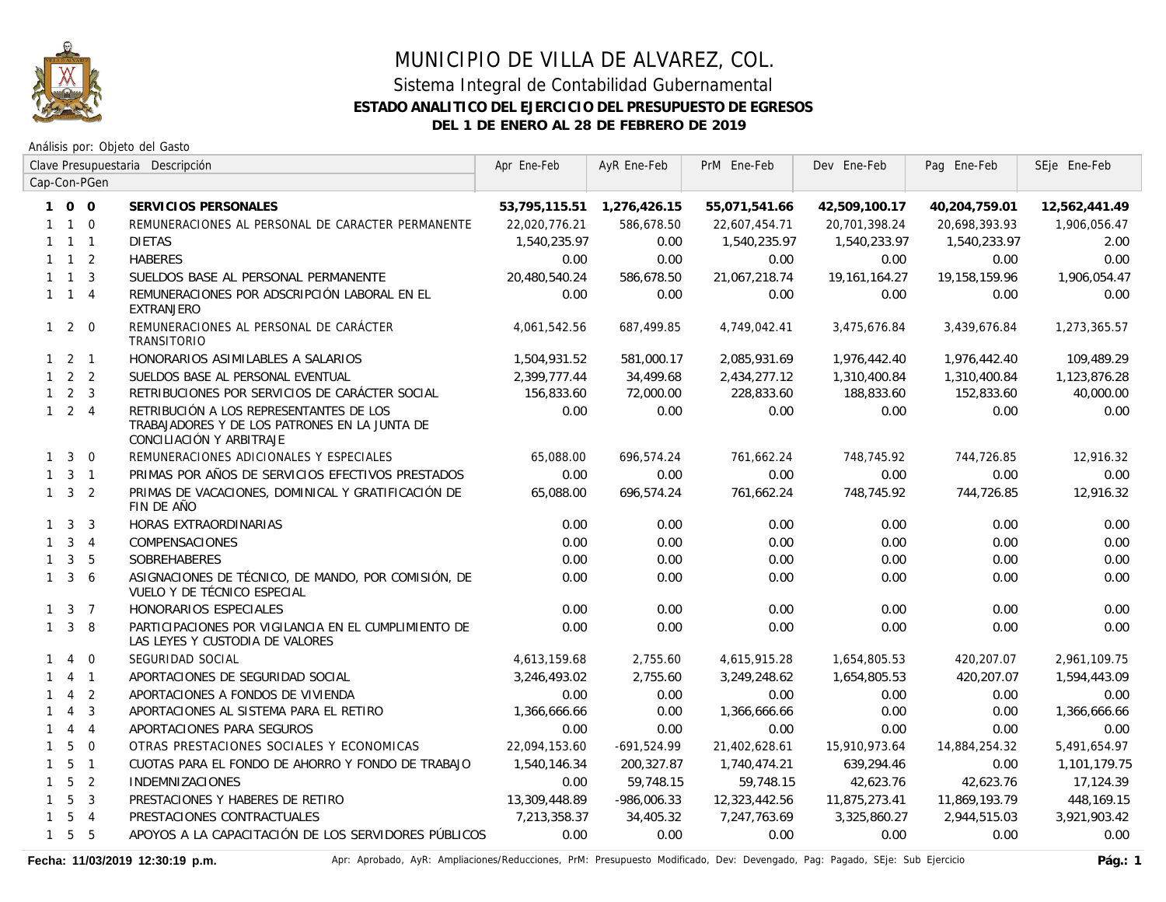

Análisis por: Objeto del Gasto

|              |                     |                     | Clave Presupuestaria Descripción                                                                                     | Apr Ene-Feb   | AyR Ene-Feb                | PrM Ene-Feb   | Dev Ene-Feb      | Pag Ene-Feb   | SEje Ene-Feb  |
|--------------|---------------------|---------------------|----------------------------------------------------------------------------------------------------------------------|---------------|----------------------------|---------------|------------------|---------------|---------------|
|              |                     | Cap-Con-PGen        |                                                                                                                      |               |                            |               |                  |               |               |
|              | $1\quad0\quad0$     |                     | SERVICIOS PERSONALES                                                                                                 |               | 53,795,115.51 1,276,426.15 | 55,071,541.66 | 42,509,100.17    | 40,204,759.01 | 12,562,441.49 |
|              | $1\quad1\quad0$     |                     | REMUNERACIONES AL PERSONAL DE CARACTER PERMANENTE                                                                    | 22,020,776.21 | 586,678.50                 | 22,607,454.71 | 20,701,398.24    | 20,698,393.93 | 1,906,056.47  |
|              |                     | $1 \quad 1 \quad 1$ | <b>DIETAS</b>                                                                                                        | 1,540,235.97  | 0.00                       | 1,540,235.97  | 1,540,233.97     | 1,540,233.97  | 2.00          |
|              | $1 \quad 1 \quad 2$ |                     | <b>HABERES</b>                                                                                                       | 0.00          | 0.00                       | 0.00          | 0.00             | 0.00          | 0.00          |
|              | $1 \quad 1 \quad 3$ |                     | SUELDOS BASE AL PERSONAL PERMANENTE                                                                                  | 20,480,540.24 | 586,678.50                 | 21,067,218.74 | 19, 161, 164. 27 | 19,158,159.96 | 1,906,054.47  |
|              | $1 \quad 1 \quad 4$ |                     | REMUNERACIONES POR ADSCRIPCIÓN LABORAL EN EL<br><b>EXTRANJERO</b>                                                    | 0.00          | 0.00                       | 0.00          | 0.00             | 0.00          | 0.00          |
| $1 2 0$      |                     |                     | REMUNERACIONES AL PERSONAL DE CARÁCTER<br>TRANSITORIO                                                                | 4,061,542.56  | 687,499.85                 | 4,749,042.41  | 3,475,676.84     | 3,439,676.84  | 1,273,365.57  |
|              | $1\quad 2\quad 1$   |                     | HONORARIOS ASIMILABLES A SALARIOS                                                                                    | 1,504,931.52  | 581,000.17                 | 2,085,931.69  | 1,976,442.40     | 1,976,442.40  | 109,489.29    |
|              | $1 \quad 2 \quad 2$ |                     | SUELDOS BASE AL PERSONAL EVENTUAL                                                                                    | 2,399,777.44  | 34,499.68                  | 2,434,277.12  | 1,310,400.84     | 1,310,400.84  | 1,123,876.28  |
|              | $1 \quad 2 \quad 3$ |                     | RETRIBUCIONES POR SERVICIOS DE CARÁCTER SOCIAL                                                                       | 156,833.60    | 72,000.00                  | 228,833.60    | 188,833.60       | 152,833.60    | 40,000.00     |
|              | $1 \quad 2 \quad 4$ |                     | RETRIBUCIÓN A LOS REPRESENTANTES DE LOS<br>TRABAJADORES Y DE LOS PATRONES EN LA JUNTA DE<br>CONCILIACIÓN Y ARBITRAJE | 0.00          | 0.00                       | 0.00          | 0.00             | 0.00          | 0.00          |
|              | $1 \quad 3$         | $\overline{0}$      | REMUNERACIONES ADICIONALES Y ESPECIALES                                                                              | 65,088.00     | 696,574.24                 | 761,662.24    | 748,745.92       | 744,726.85    | 12,916.32     |
|              |                     | $1 \quad 3 \quad 1$ | PRIMAS POR AÑOS DE SERVICIOS EFECTIVOS PRESTADOS                                                                     | 0.00          | 0.00                       | 0.00          | 0.00             | 0.00          | 0.00          |
|              | $1 \quad 3 \quad 2$ |                     | PRIMAS DE VACACIONES, DOMINICAL Y GRATIFICACIÓN DE<br>FIN DE AÑO                                                     | 65,088.00     | 696,574.24                 | 761,662.24    | 748,745.92       | 744,726.85    | 12,916.32     |
|              | $1 \quad 3 \quad 3$ |                     | HORAS EXTRAORDINARIAS                                                                                                | 0.00          | 0.00                       | 0.00          | 0.00             | 0.00          | 0.00          |
|              | $1 \quad 3 \quad 4$ |                     | COMPENSACIONES                                                                                                       | 0.00          | 0.00                       | 0.00          | 0.00             | 0.00          | 0.00          |
|              | $1 \quad 3 \quad 5$ |                     | SOBREHABERES                                                                                                         | 0.00          | 0.00                       | 0.00          | 0.00             | 0.00          | 0.00          |
|              | $1 \quad 3 \quad 6$ |                     | ASIGNACIONES DE TÉCNICO, DE MANDO, POR COMISIÓN, DE<br>VUELO Y DE TÉCNICO ESPECIAL                                   | 0.00          | 0.00                       | 0.00          | 0.00             | 0.00          | 0.00          |
|              | $1 \quad 3 \quad 7$ |                     | HONORARIOS ESPECIALES                                                                                                | 0.00          | 0.00                       | 0.00          | 0.00             | 0.00          | 0.00          |
|              | $1 \quad 3 \quad 8$ |                     | PARTICIPACIONES POR VIGILANCIA EN EL CUMPLIMIENTO DE<br>LAS LEYES Y CUSTODIA DE VALORES                              | 0.00          | 0.00                       | 0.00          | 0.00             | 0.00          | 0.00          |
| $\mathbf{1}$ | $\overline{4}$      | $\overline{0}$      | SEGURIDAD SOCIAL                                                                                                     | 4,613,159.68  | 2,755.60                   | 4,615,915.28  | 1,654,805.53     | 420,207.07    | 2,961,109.75  |
| $\mathbf{1}$ |                     | $4 \quad 1$         | APORTACIONES DE SEGURIDAD SOCIAL                                                                                     | 3,246,493.02  | 2,755.60                   | 3,249,248.62  | 1,654,805.53     | 420,207.07    | 1,594,443.09  |
| $\mathbf{1}$ | $\overline{4}$      | $\overline{2}$      | APORTACIONES A FONDOS DE VIVIENDA                                                                                    | 0.00          | 0.00                       | 0.00          | 0.00             | 0.00          | 0.00          |
| $\mathbf{1}$ | $\overline{4}$      | $\overline{3}$      | APORTACIONES AL SISTEMA PARA EL RETIRO                                                                               | 1,366,666.66  | 0.00                       | 1,366,666.66  | 0.00             | 0.00          | 1,366,666.66  |
| $\mathbf{1}$ |                     | $4\quad 4$          | APORTACIONES PARA SEGUROS                                                                                            | 0.00          | 0.00                       | 0.00          | 0.00             | 0.00          | 0.00          |
| $\mathbf{1}$ | 5                   | $\overline{0}$      | OTRAS PRESTACIONES SOCIALES Y ECONOMICAS                                                                             | 22,094,153.60 | $-691,524.99$              | 21,402,628.61 | 15,910,973.64    | 14,884,254.32 | 5,491,654.97  |
|              | $1\quad 5\quad 1$   |                     | CUOTAS PARA EL FONDO DE AHORRO Y FONDO DE TRABAJO                                                                    | 1,540,146.34  | 200,327.87                 | 1,740,474.21  | 639,294.46       | 0.00          | 1,101,179.75  |
|              | $1\quad5$           | $\overline{2}$      | <b>INDEMNIZACIONES</b>                                                                                               | 0.00          | 59,748.15                  | 59,748.15     | 42,623.76        | 42,623.76     | 17,124.39     |
|              | $1\quad5$           | $\overline{3}$      | PRESTACIONES Y HABERES DE RETIRO                                                                                     | 13,309,448.89 | $-986,006.33$              | 12,323,442.56 | 11,875,273.41    | 11,869,193.79 | 448,169.15    |
|              | $1\quad 5\quad 4$   |                     | PRESTACIONES CONTRACTUALES                                                                                           | 7,213,358.37  | 34,405.32                  | 7,247,763.69  | 3,325,860.27     | 2,944,515.03  | 3,921,903.42  |
|              | $1\quad 5\quad 5$   |                     | APOYOS A LA CAPACITACIÓN DE LOS SERVIDORES PÚBLICOS                                                                  | 0.00          | 0.00                       | 0.00          | 0.00             | 0.00          | 0.00          |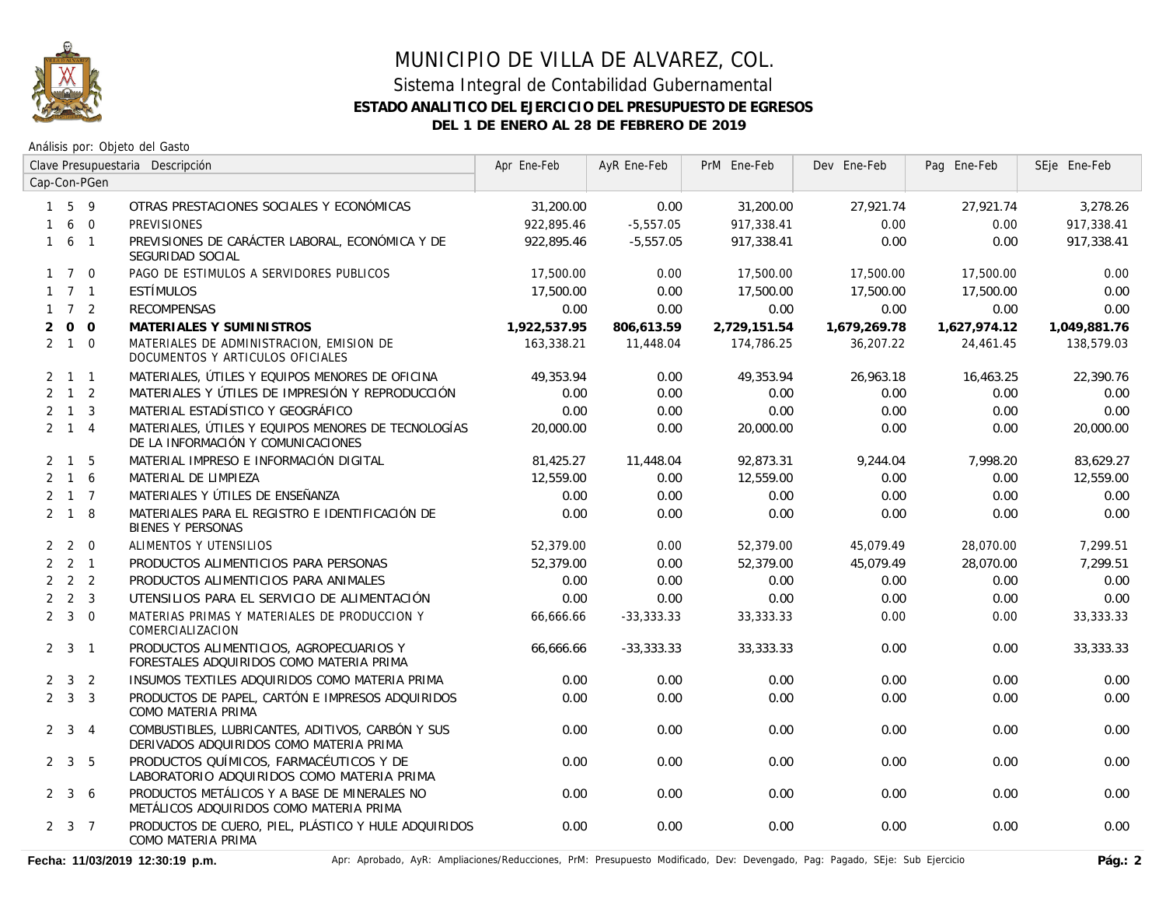

Análisis por: Objeto del Gasto

|                |                     |                | Clave Presupuestaria Descripción                                                             | Apr Ene-Feb  | AyR Ene-Feb  | PrM Ene-Feb  | Dev Ene-Feb  | Pag Ene-Feb  | SEje Ene-Feb |
|----------------|---------------------|----------------|----------------------------------------------------------------------------------------------|--------------|--------------|--------------|--------------|--------------|--------------|
|                |                     | Cap-Con-PGen   |                                                                                              |              |              |              |              |              |              |
|                | $1\quad5\quad9$     |                | OTRAS PRESTACIONES SOCIALES Y ECONÓMICAS                                                     | 31,200.00    | 0.00         | 31,200.00    | 27.921.74    | 27.921.74    | 3,278.26     |
| 1              | 6                   | $\overline{0}$ | <b>PREVISIONES</b>                                                                           | 922,895.46   | $-5,557.05$  | 917,338.41   | 0.00         | 0.00         | 917,338.41   |
| $\mathbf{1}$   |                     | 6 1            | PREVISIONES DE CARÁCTER LABORAL, ECONÓMICA Y DE<br>SEGURIDAD SOCIAL                          | 922.895.46   | $-5.557.05$  | 917,338.41   | 0.00         | 0.00         | 917,338.41   |
|                | $1 \quad 7 \quad 0$ |                | PAGO DE ESTIMULOS A SERVIDORES PUBLICOS                                                      | 17,500.00    | 0.00         | 17,500.00    | 17,500.00    | 17,500.00    | 0.00         |
|                | $1 \quad 7 \quad 1$ |                | ESTÍMULOS                                                                                    | 17,500.00    | 0.00         | 17,500.00    | 17,500.00    | 17,500.00    | 0.00         |
|                | $1 \quad 7 \quad 2$ |                | <b>RECOMPENSAS</b>                                                                           | 0.00         | 0.00         | 0.00         | 0.00         | 0.00         | 0.00         |
| $\overline{2}$ |                     | $0\quad 0$     | MATERIALES Y SUMINISTROS                                                                     | 1,922,537.95 | 806,613.59   | 2,729,151.54 | 1,679,269.78 | 1,627,974.12 | 1,049,881.76 |
|                | $2 \quad 1 \quad 0$ |                | MATERIALES DE ADMINISTRACION, EMISION DE<br>DOCUMENTOS Y ARTICULOS OFICIALES                 | 163,338.21   | 11,448.04    | 174,786.25   | 36,207.22    | 24,461.45    | 138,579.03   |
|                | $2 \t1 \t1$         |                | MATERIALES, ÚTILES Y EQUIPOS MENORES DE OFICINA                                              | 49,353.94    | 0.00         | 49,353.94    | 26,963.18    | 16,463.25    | 22,390.76    |
|                | $2 \quad 1 \quad 2$ |                | MATERIALES Y ÚTILES DE IMPRESIÓN Y REPRODUCCIÓN                                              | 0.00         | 0.00         | 0.00         | 0.00         | 0.00         | 0.00         |
|                | $2 \quad 1 \quad 3$ |                | MATERIAL ESTADÍSTICO Y GEOGRÁFICO                                                            | 0.00         | 0.00         | 0.00         | 0.00         | 0.00         | 0.00         |
|                | $2 \quad 1 \quad 4$ |                | MATERIALES, ÚTILES Y EQUIPOS MENORES DE TECNOLOGÍAS<br>DE LA INFORMACIÓN Y COMUNICACIONES    | 20,000.00    | 0.00         | 20,000.00    | 0.00         | 0.00         | 20,000.00    |
|                | $2 \quad 1 \quad 5$ |                | MATERIAL IMPRESO E INFORMACIÓN DIGITAL                                                       | 81,425.27    | 11,448.04    | 92,873.31    | 9,244.04     | 7,998.20     | 83,629.27    |
|                | $2 \quad 1 \quad 6$ |                | MATERIAL DE LIMPIEZA                                                                         | 12,559.00    | 0.00         | 12,559.00    | 0.00         | 0.00         | 12,559.00    |
|                | $2 \t1 \t7$         |                | MATERIALES Y ÚTILES DE ENSEÑANZA                                                             | 0.00         | 0.00         | 0.00         | 0.00         | 0.00         | 0.00         |
|                | $2 \quad 1 \quad 8$ |                | MATERIALES PARA EL REGISTRO E IDENTIFICACIÓN DE<br>BIENES Y PERSONAS                         | 0.00         | 0.00         | 0.00         | 0.00         | 0.00         | 0.00         |
|                | $2 \quad 2$         | $\overline{0}$ | ALIMENTOS Y UTENSILIOS                                                                       | 52,379.00    | 0.00         | 52,379.00    | 45,079.49    | 28,070.00    | 7,299.51     |
|                | $2 \quad 2 \quad 1$ |                | PRODUCTOS ALIMENTICIOS PARA PERSONAS                                                         | 52,379.00    | 0.00         | 52,379.00    | 45,079.49    | 28,070.00    | 7,299.51     |
|                | $2 \quad 2 \quad 2$ |                | PRODUCTOS ALIMENTICIOS PARA ANIMALES                                                         | 0.00         | 0.00         | 0.00         | 0.00         | 0.00         | 0.00         |
|                | $2 \quad 2 \quad 3$ |                | UTENSILIOS PARA EL SERVICIO DE ALIMENTACIÓN                                                  | 0.00         | 0.00         | 0.00         | 0.00         | 0.00         | 0.00         |
|                | $2 \quad 3 \quad 0$ |                | MATERIAS PRIMAS Y MATERIALES DE PRODUCCION Y<br>COMERCIALIZACION                             | 66,666.66    | $-33,333.33$ | 33,333.33    | 0.00         | 0.00         | 33, 333. 33  |
|                | $2 \quad 3 \quad 1$ |                | PRODUCTOS ALIMENTICIOS, AGROPECUARIOS Y<br>FORESTALES ADQUIRIDOS COMO MATERIA PRIMA          | 66,666.66    | $-33,333.33$ | 33,333.33    | 0.00         | 0.00         | 33,333.33    |
|                | $2 \quad 3 \quad 2$ |                | INSUMOS TEXTILES ADQUIRIDOS COMO MATERIA PRIMA                                               | 0.00         | 0.00         | 0.00         | 0.00         | 0.00         | 0.00         |
|                | $2 \quad 3 \quad 3$ |                | PRODUCTOS DE PAPEL, CARTÓN E IMPRESOS ADQUIRIDOS<br>COMO MATERIA PRIMA                       | 0.00         | 0.00         | 0.00         | 0.00         | 0.00         | 0.00         |
|                | $2 \quad 3 \quad 4$ |                | COMBUSTIBLES, LUBRICANTES, ADITIVOS, CARBÓN Y SUS<br>DERIVADOS ADQUIRIDOS COMO MATERIA PRIMA | 0.00         | 0.00         | 0.00         | 0.00         | 0.00         | 0.00         |
|                | $2 \quad 3 \quad 5$ |                | PRODUCTOS QUÍMICOS, FARMACÉUTICOS Y DE<br>LABORATORIO ADQUIRIDOS COMO MATERIA PRIMA          | 0.00         | 0.00         | 0.00         | 0.00         | 0.00         | 0.00         |
|                | $2 \quad 3 \quad 6$ |                | PRODUCTOS METÁLICOS Y A BASE DE MINERALES NO<br>METÁLICOS ADQUIRIDOS COMO MATERIA PRIMA      | 0.00         | 0.00         | 0.00         | 0.00         | 0.00         | 0.00         |
|                | $2 \quad 3 \quad 7$ |                | PRODUCTOS DE CUERO, PIEL, PLÁSTICO Y HULE ADQUIRIDOS<br>COMO MATERIA PRIMA                   | 0.00         | 0.00         | 0.00         | 0.00         | 0.00         | 0.00         |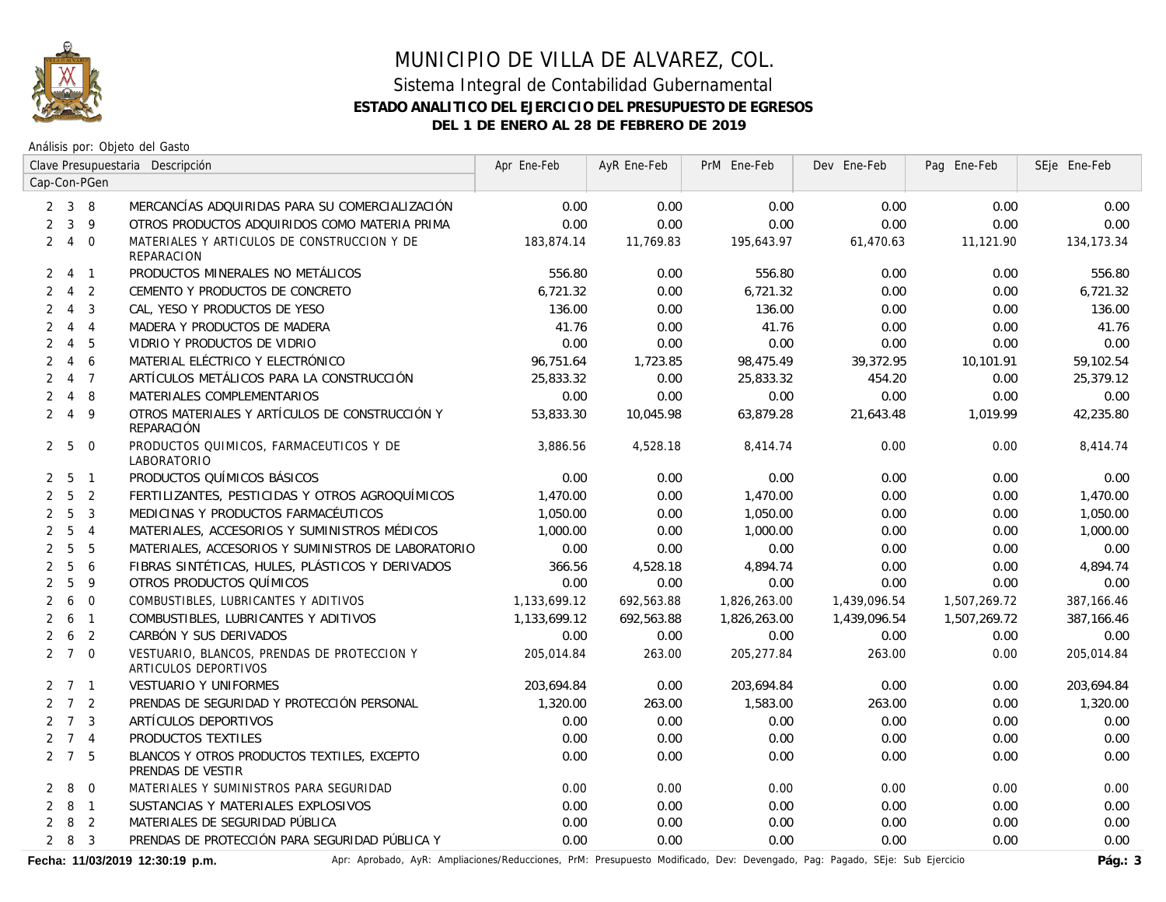

Análisis por: Objeto del Gasto

|                |                     |                | Clave Presupuestaria Descripción                                    | Apr Ene-Feb  | AyR Ene-Feb | PrM Ene-Feb  | Dev Ene-Feb  | Pag Ene-Feb  | SEje Ene-Feb |
|----------------|---------------------|----------------|---------------------------------------------------------------------|--------------|-------------|--------------|--------------|--------------|--------------|
|                |                     | Cap-Con-PGen   |                                                                     |              |             |              |              |              |              |
|                | $2 \quad 3 \quad 8$ |                | MERCANCÍAS ADQUIRIDAS PARA SU COMERCIALIZACIÓN                      | 0.00         | 0.00        | 0.00         | 0.00         | 0.00         | 0.00         |
| $\overline{2}$ | $\mathbf{3}$        | 9              | OTROS PRODUCTOS ADQUIRIDOS COMO MATERIA PRIMA                       | 0.00         | 0.00        | 0.00         | 0.00         | 0.00         | 0.00         |
| 2              | 4 0                 |                | MATERIALES Y ARTICULOS DE CONSTRUCCION Y DE<br><b>REPARACION</b>    | 183,874.14   | 11,769.83   | 195,643.97   | 61,470.63    | 11,121.90    | 134, 173. 34 |
| 2              | $\overline{4}$      | $\overline{1}$ | PRODUCTOS MINERALES NO METÁLICOS                                    | 556.80       | 0.00        | 556.80       | 0.00         | 0.00         | 556.80       |
| 2              | $\overline{4}$      | $\overline{2}$ | CEMENTO Y PRODUCTOS DE CONCRETO                                     | 6,721.32     | 0.00        | 6,721.32     | 0.00         | 0.00         | 6,721.32     |
| 2              | $\overline{4}$      | $\overline{3}$ | CAL, YESO Y PRODUCTOS DE YESO                                       | 136.00       | 0.00        | 136.00       | 0.00         | 0.00         | 136.00       |
| 2              |                     | $4\quad 4$     | MADERA Y PRODUCTOS DE MADERA                                        | 41.76        | 0.00        | 41.76        | 0.00         | 0.00         | 41.76        |
| 2              | $\overline{4}$      | 5              | VIDRIO Y PRODUCTOS DE VIDRIO                                        | 0.00         | 0.00        | 0.00         | 0.00         | 0.00         | 0.00         |
| $\overline{2}$ | $\overline{4}$      | 6              | MATERIAL ELÉCTRICO Y ELECTRÓNICO                                    | 96,751.64    | 1,723.85    | 98,475.49    | 39,372.95    | 10,101.91    | 59,102.54    |
| 2              | 4 7                 |                | ARTÍCULOS METÁLICOS PARA LA CONSTRUCCIÓN                            | 25,833.32    | 0.00        | 25,833.32    | 454.20       | 0.00         | 25,379.12    |
| $\overline{2}$ | 4 8                 |                | MATERIALES COMPLEMENTARIOS                                          | 0.00         | 0.00        | 0.00         | 0.00         | 0.00         | 0.00         |
| $\overline{2}$ | $\overline{4}$      | 9              | OTROS MATERIALES Y ARTÍCULOS DE CONSTRUCCIÓN Y<br>REPARACIÓN        | 53,833.30    | 10,045.98   | 63,879.28    | 21,643.48    | 1,019.99     | 42,235.80    |
|                | 2 <sub>5</sub>      | $\overline{0}$ | PRODUCTOS QUIMICOS, FARMACEUTICOS Y DE<br><b>LABORATORIO</b>        | 3,886.56     | 4,528.18    | 8,414.74     | 0.00         | 0.00         | 8,414.74     |
|                | 2 <sub>5</sub>      | $\overline{1}$ | PRODUCTOS QUÍMICOS BÁSICOS                                          | 0.00         | 0.00        | 0.00         | 0.00         | 0.00         | 0.00         |
| $\overline{2}$ | $5\overline{5}$     | $\overline{2}$ | FERTILIZANTES, PESTICIDAS Y OTROS AGROQUÍMICOS                      | 1,470.00     | 0.00        | 1,470.00     | 0.00         | 0.00         | 1,470.00     |
| $\overline{2}$ | 5                   | $\overline{3}$ | MEDICINAS Y PRODUCTOS FARMACÉUTICOS                                 | 1,050.00     | 0.00        | 1,050.00     | 0.00         | 0.00         | 1,050.00     |
| 2              | 5                   | $\overline{4}$ | MATERIALES, ACCESORIOS Y SUMINISTROS MÉDICOS                        | 1,000.00     | 0.00        | 1,000.00     | 0.00         | 0.00         | 1,000.00     |
| $\overline{2}$ | 5                   | 5              | MATERIALES, ACCESORIOS Y SUMINISTROS DE LABORATORIO                 | 0.00         | 0.00        | 0.00         | 0.00         | 0.00         | 0.00         |
| $\overline{2}$ | 5                   | 6              | FIBRAS SINTÉTICAS, HULES, PLÁSTICOS Y DERIVADOS                     | 366.56       | 4,528.18    | 4,894.74     | 0.00         | 0.00         | 4,894.74     |
| $\overline{2}$ | 5                   | 9              | OTROS PRODUCTOS QUÍMICOS                                            | 0.00         | 0.00        | 0.00         | 0.00         | 0.00         | 0.00         |
| 2              | 6                   | $\mathbf 0$    | COMBUSTIBLES, LUBRICANTES Y ADITIVOS                                | 1,133,699.12 | 692,563.88  | 1,826,263.00 | 1,439,096.54 | 1,507,269.72 | 387,166.46   |
| 2              | 6                   | $\overline{1}$ | COMBUSTIBLES, LUBRICANTES Y ADITIVOS                                | 1,133,699.12 | 692,563.88  | 1,826,263.00 | 1,439,096.54 | 1,507,269.72 | 387,166.46   |
| $\overline{2}$ | 6                   | $\overline{2}$ | CARBÓN Y SUS DERIVADOS                                              | 0.00         | 0.00        | 0.00         | 0.00         | 0.00         | 0.00         |
|                | $2 \quad 7 \quad 0$ |                | VESTUARIO, BLANCOS, PRENDAS DE PROTECCION Y<br>ARTICULOS DEPORTIVOS | 205.014.84   | 263.00      | 205,277.84   | 263.00       | 0.00         | 205.014.84   |
|                | $2 \quad 7 \quad 1$ |                | VESTUARIO Y UNIFORMES                                               | 203,694.84   | 0.00        | 203,694.84   | 0.00         | 0.00         | 203,694.84   |
|                | $2 \quad 7 \quad 2$ |                | PRENDAS DE SEGURIDAD Y PROTECCIÓN PERSONAL                          | 1,320.00     | 263.00      | 1,583.00     | 263.00       | 0.00         | 1,320.00     |
|                | $2 \quad 7 \quad 3$ |                | ARTÍCULOS DEPORTIVOS                                                | 0.00         | 0.00        | 0.00         | 0.00         | 0.00         | 0.00         |
|                | $2 \quad 7 \quad 4$ |                | PRODUCTOS TEXTILES                                                  | 0.00         | 0.00        | 0.00         | 0.00         | 0.00         | 0.00         |
|                | $2 \quad 7 \quad 5$ |                | BLANCOS Y OTROS PRODUCTOS TEXTILES, EXCEPTO<br>PRENDAS DE VESTIR    | 0.00         | 0.00        | 0.00         | 0.00         | 0.00         | 0.00         |
| $\overline{2}$ | 8                   | $\overline{0}$ | MATERIALES Y SUMINISTROS PARA SEGURIDAD                             | 0.00         | 0.00        | 0.00         | 0.00         | 0.00         | 0.00         |
|                | 281                 |                | SUSTANCIAS Y MATERIALES EXPLOSIVOS                                  | 0.00         | 0.00        | 0.00         | 0.00         | 0.00         | 0.00         |
| $\overline{2}$ | 8                   | $\overline{2}$ | MATERIALES DE SEGURIDAD PÚBLICA                                     | 0.00         | 0.00        | 0.00         | 0.00         | 0.00         | 0.00         |
|                | 283                 |                | PRENDAS DE PROTECCIÓN PARA SEGURIDAD PÚBLICA Y                      | 0.00         | 0.00        | 0.00         | 0.00         | 0.00         | 0.00         |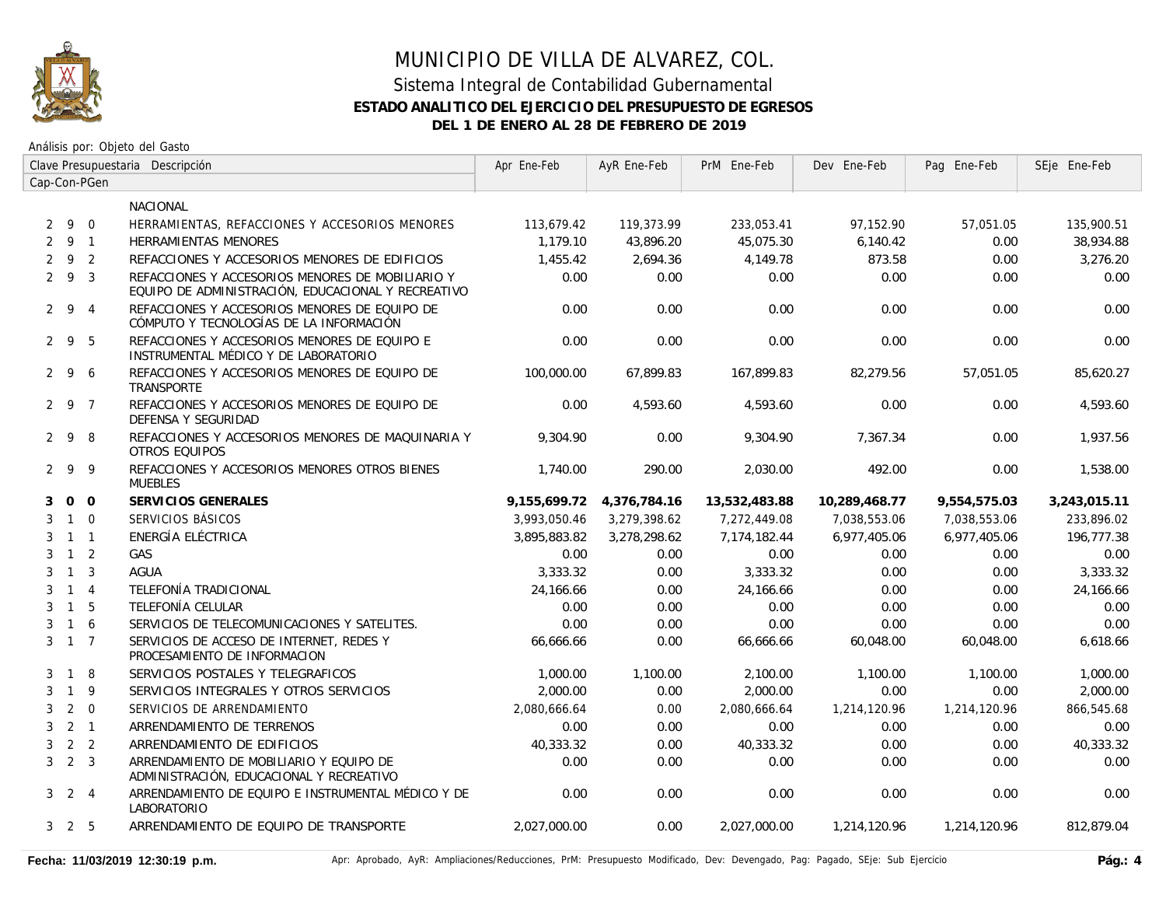

|   |                     |                | Clave Presupuestaria Descripción                                                                       | Apr Ene-Feb  | AyR Ene-Feb  | PrM Ene-Feb   | Dev Ene-Feb   | Pag Ene-Feb  | SEje Ene-Feb |
|---|---------------------|----------------|--------------------------------------------------------------------------------------------------------|--------------|--------------|---------------|---------------|--------------|--------------|
|   |                     | Cap-Con-PGen   |                                                                                                        |              |              |               |               |              |              |
|   |                     |                | NACIONAL                                                                                               |              |              |               |               |              |              |
|   | 290                 |                | HERRAMIENTAS, REFACCIONES Y ACCESORIOS MENORES                                                         | 113,679.42   | 119,373.99   | 233,053.41    | 97,152.90     | 57,051.05    | 135,900.51   |
| 2 | 9 1                 |                | <b>HERRAMIENTAS MENORES</b>                                                                            | 1.179.10     | 43,896.20    | 45,075.30     | 6,140.42      | 0.00         | 38,934.88    |
|   | 292                 |                | REFACCIONES Y ACCESORIOS MENORES DE EDIFICIOS                                                          | 1,455.42     | 2.694.36     | 4.149.78      | 873.58        | 0.00         | 3,276.20     |
|   | $2 \t9 \t3$         |                | REFACCIONES Y ACCESORIOS MENORES DE MOBILIARIO Y<br>EQUIPO DE ADMINISTRACIÓN, EDUCACIONAL Y RECREATIVO | 0.00         | 0.00         | 0.00          | 0.00          | 0.00         | 0.00         |
|   | $2 \t9 \t4$         |                | REFACCIONES Y ACCESORIOS MENORES DE EQUIPO DE<br>CÓMPUTO Y TECNOLOGÍAS DE LA INFORMACIÓN               | 0.00         | 0.00         | 0.00          | 0.00          | 0.00         | 0.00         |
|   | $2 \quad 9$         | - 5            | REFACCIONES Y ACCESORIOS MENORES DE EQUIPO E<br>INSTRUMENTAL MÉDICO Y DE LABORATORIO                   | 0.00         | 0.00         | 0.00          | 0.00          | 0.00         | 0.00         |
|   | $2 \overline{9}$    | 6              | REFACCIONES Y ACCESORIOS MENORES DE EQUIPO DE<br><b>TRANSPORTE</b>                                     | 100,000.00   | 67.899.83    | 167.899.83    | 82.279.56     | 57.051.05    | 85.620.27    |
|   | 2 9 7               |                | REFACCIONES Y ACCESORIOS MENORES DE EQUIPO DE<br>DEFENSA Y SEGURIDAD                                   | 0.00         | 4,593.60     | 4,593.60      | 0.00          | 0.00         | 4,593.60     |
|   | 298                 |                | REFACCIONES Y ACCESORIOS MENORES DE MAQUINARIA Y<br><b>OTROS EQUIPOS</b>                               | 9.304.90     | 0.00         | 9.304.90      | 7.367.34      | 0.00         | 1.937.56     |
|   | 299                 |                | REFACCIONES Y ACCESORIOS MENORES OTROS BIENES<br><b>MUEBLES</b>                                        | 1,740.00     | 290.00       | 2,030.00      | 492.00        | 0.00         | 1,538.00     |
| 3 | 0 <sub>0</sub>      |                | SERVICIOS GENERALES                                                                                    | 9.155.699.72 | 4,376,784.16 | 13,532,483.88 | 10.289.468.77 | 9.554.575.03 | 3,243,015.11 |
| 3 | $1\quad 0$          |                | SERVICIOS BÁSICOS                                                                                      | 3,993,050.46 | 3,279,398.62 | 7,272,449.08  | 7,038,553.06  | 7,038,553.06 | 233,896.02   |
| 3 | $1\quad1$           |                | ENERGÍA ELÉCTRICA                                                                                      | 3,895,883.82 | 3,278,298.62 | 7,174,182.44  | 6,977,405.06  | 6,977,405.06 | 196,777.38   |
| 3 | $1\quad 2$          |                | GAS                                                                                                    | 0.00         | 0.00         | 0.00          | 0.00          | 0.00         | 0.00         |
| 3 | $1 \quad 3$         |                | <b>AGUA</b>                                                                                            | 3,333.32     | 0.00         | 3,333.32      | 0.00          | 0.00         | 3,333.32     |
| 3 | $1 \quad 4$         |                | TELEFONÍA TRADICIONAL                                                                                  | 24,166.66    | 0.00         | 24,166.66     | 0.00          | 0.00         | 24,166.66    |
| 3 | $1\quad5$           |                | TELEFONÍA CELULAR                                                                                      | 0.00         | 0.00         | 0.00          | 0.00          | 0.00         | 0.00         |
| 3 | $\overline{1}$      | 6              | SERVICIOS DE TELECOMUNICACIONES Y SATELITES.                                                           | 0.00         | 0.00         | 0.00          | 0.00          | 0.00         | 0.00         |
|   | $3 \t1 \t7$         |                | SERVICIOS DE ACCESO DE INTERNET, REDES Y<br>PROCESAMIENTO DE INFORMACION                               | 66,666.66    | 0.00         | 66,666.66     | 60,048.00     | 60,048.00    | 6,618.66     |
| 3 | $\overline{1}$      | 8              | SERVICIOS POSTALES Y TELEGRAFICOS                                                                      | 1,000.00     | 1,100.00     | 2,100.00      | 1,100.00      | 1,100.00     | 1,000.00     |
| 3 | $\overline{1}$      | 9              | SERVICIOS INTEGRALES Y OTROS SERVICIOS                                                                 | 2,000.00     | 0.00         | 2,000.00      | 0.00          | 0.00         | 2,000.00     |
| 3 | 2                   | $\Omega$       | SERVICIOS DE ARRENDAMIENTO                                                                             | 2,080,666.64 | 0.00         | 2,080,666.64  | 1,214,120.96  | 1,214,120.96 | 866,545.68   |
| 3 | 2 <sub>1</sub>      |                | ARRENDAMIENTO DE TERRENOS                                                                              | 0.00         | 0.00         | 0.00          | 0.00          | 0.00         | 0.00         |
| 3 |                     | 2 <sub>2</sub> | ARRENDAMIENTO DE EDIFICIOS                                                                             | 40,333.32    | 0.00         | 40,333.32     | 0.00          | 0.00         | 40,333.32    |
| 3 | 2 <sup>3</sup>      |                | ARRENDAMIENTO DE MOBILIARIO Y EQUIPO DE<br>ADMINISTRACIÓN, EDUCACIONAL Y RECREATIVO                    | 0.00         | 0.00         | 0.00          | 0.00          | 0.00         | 0.00         |
|   | $3 \quad 2 \quad 4$ |                | ARRENDAMIENTO DE EQUIPO E INSTRUMENTAL MÉDICO Y DE<br>LABORATORIO                                      | 0.00         | 0.00         | 0.00          | 0.00          | 0.00         | 0.00         |
|   | $3\quad 2\quad 5$   |                | ARRENDAMIENTO DE EQUIPO DE TRANSPORTE                                                                  | 2,027,000.00 | 0.00         | 2,027,000.00  | 1,214,120.96  | 1,214,120.96 | 812,879.04   |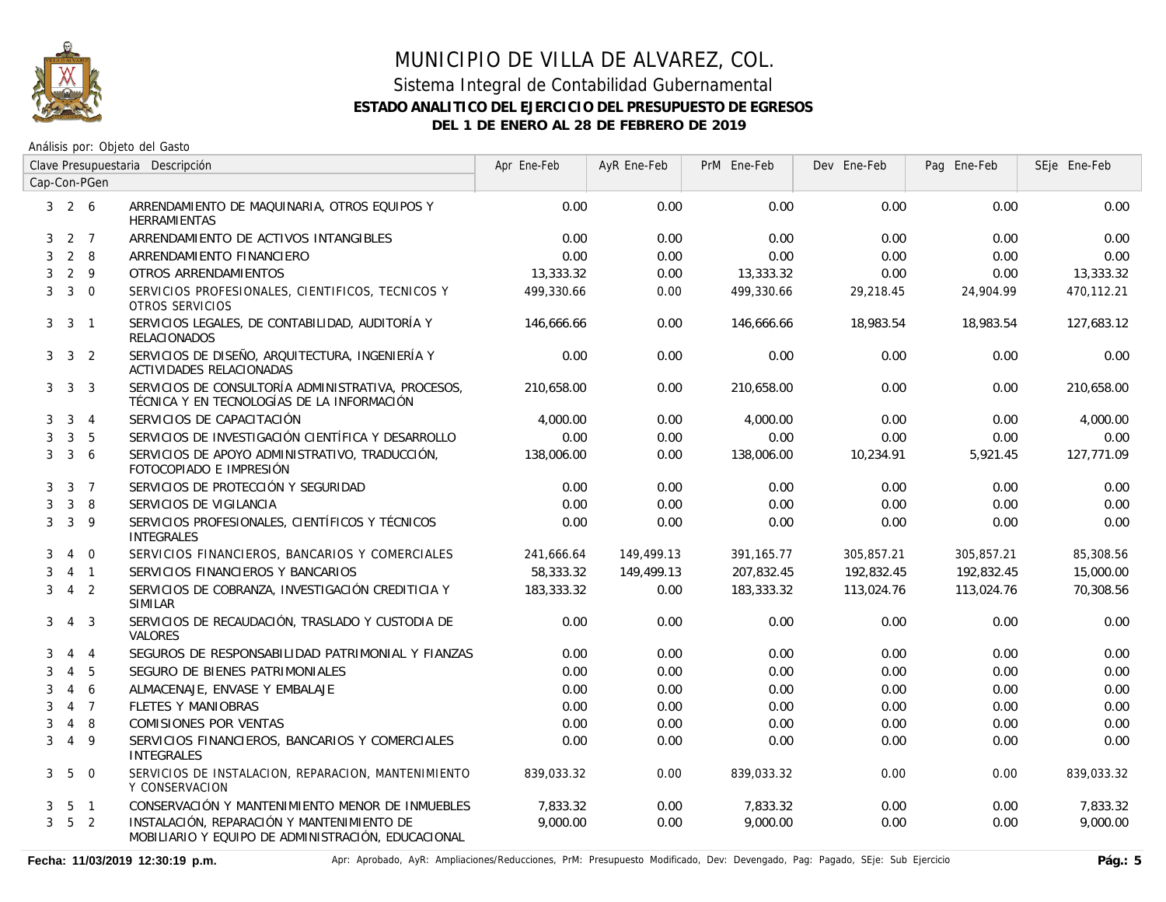

|                | Clave Presupuestaria Descripción |                  | Apr Ene-Feb                                                                                      | AyR Ene-Feb | PrM Ene-Feb | Dev Ene-Feb | Pag Ene-Feb | SEje Ene-Feb |            |
|----------------|----------------------------------|------------------|--------------------------------------------------------------------------------------------------|-------------|-------------|-------------|-------------|--------------|------------|
|                |                                  | Cap-Con-PGen     |                                                                                                  |             |             |             |             |              |            |
|                | $3\quad 2\quad 6$                |                  | ARRENDAMIENTO DE MAQUINARIA, OTROS EQUIPOS Y<br><b>HERRAMIENTAS</b>                              | 0.00        | 0.00        | 0.00        | 0.00        | 0.00         | 0.00       |
| 3              |                                  | $2 \overline{7}$ | ARRENDAMIENTO DE ACTIVOS INTANGIBLES                                                             | 0.00        | 0.00        | 0.00        | 0.00        | 0.00         | 0.00       |
| 3              | $2 \quad 8$                      |                  | ARRENDAMIENTO FINANCIERO                                                                         | 0.00        | 0.00        | 0.00        | 0.00        | 0.00         | 0.00       |
| 3              | $2 \overline{9}$                 |                  | OTROS ARRENDAMIENTOS                                                                             | 13,333.32   | 0.00        | 13,333.32   | 0.00        | 0.00         | 13,333.32  |
| 3              | $3 \quad 0$                      |                  | SERVICIOS PROFESIONALES, CIENTIFICOS, TECNICOS Y<br>OTROS SERVICIOS                              | 499,330.66  | 0.00        | 499,330.66  | 29,218.45   | 24,904.99    | 470,112.21 |
| 3              | 3 <sup>1</sup>                   |                  | SERVICIOS LEGALES, DE CONTABILIDAD, AUDITORÍA Y<br><b>RELACIONADOS</b>                           | 146,666.66  | 0.00        | 146,666.66  | 18,983.54   | 18,983.54    | 127,683.12 |
| 3              | 3 <sup>2</sup>                   |                  | SERVICIOS DE DISEÑO, ARQUITECTURA, INGENIERÍA Y<br>ACTIVIDADES RELACIONADAS                      | 0.00        | 0.00        | 0.00        | 0.00        | 0.00         | 0.00       |
| 3              | 3                                | 3                | SERVICIOS DE CONSULTORÍA ADMINISTRATIVA, PROCESOS,<br>TÉCNICA Y EN TECNOLOGÍAS DE LA INFORMACIÓN | 210,658.00  | 0.00        | 210,658.00  | 0.00        | 0.00         | 210,658.00 |
| 3              | 3                                | $\overline{4}$   | SERVICIOS DE CAPACITACIÓN                                                                        | 4,000.00    | 0.00        | 4,000.00    | 0.00        | 0.00         | 4,000.00   |
| 3              | 3                                | 5                | SERVICIOS DE INVESTIGACIÓN CIENTÍFICA Y DESARROLLO                                               | 0.00        | 0.00        | 0.00        | 0.00        | 0.00         | 0.00       |
| 3              | 3 <sup>1</sup>                   | 6                | SERVICIOS DE APOYO ADMINISTRATIVO, TRADUCCIÓN,<br>FOTOCOPIADO E IMPRESIÓN                        | 138,006.00  | 0.00        | 138,006.00  | 10,234.91   | 5,921.45     | 127,771.09 |
| 3              | 3 <sub>7</sub>                   |                  | SERVICIOS DE PROTECCIÓN Y SEGURIDAD                                                              | 0.00        | 0.00        | 0.00        | 0.00        | 0.00         | 0.00       |
| 3              | $\mathbf{3}$                     | 8                | SERVICIOS DE VIGILANCIA                                                                          | 0.00        | 0.00        | 0.00        | 0.00        | 0.00         | 0.00       |
| 3              | $\mathbf{3}$                     | 9                | SERVICIOS PROFESIONALES, CIENTÍFICOS Y TÉCNICOS<br><b>INTEGRALES</b>                             | 0.00        | 0.00        | 0.00        | 0.00        | 0.00         | 0.00       |
| 3              | $\overline{4}$                   | $\overline{0}$   | SERVICIOS FINANCIEROS, BANCARIOS Y COMERCIALES                                                   | 241,666.64  | 149,499.13  | 391,165.77  | 305,857.21  | 305,857.21   | 85,308.56  |
| 3              | $\overline{4}$                   | $\overline{1}$   | SERVICIOS FINANCIEROS Y BANCARIOS                                                                | 58,333.32   | 149,499.13  | 207,832.45  | 192,832.45  | 192,832.45   | 15,000.00  |
| 3              | $\overline{4}$                   | 2                | SERVICIOS DE COBRANZA, INVESTIGACIÓN CREDITICIA Y<br><b>SIMILAR</b>                              | 183,333.32  | 0.00        | 183,333.32  | 113,024.76  | 113,024.76   | 70,308.56  |
| 3              | $\overline{4}$                   | 3                | SERVICIOS DE RECAUDACIÓN, TRASLADO Y CUSTODIA DE<br><b>VALORES</b>                               | 0.00        | 0.00        | 0.00        | 0.00        | 0.00         | 0.00       |
| 3              | $\overline{4}$                   | $\overline{4}$   | SEGUROS DE RESPONSABILIDAD PATRIMONIAL Y FIANZAS                                                 | 0.00        | 0.00        | 0.00        | 0.00        | 0.00         | 0.00       |
| 3              | $\overline{4}$                   | 5                | SEGURO DE BIENES PATRIMONIALES                                                                   | 0.00        | 0.00        | 0.00        | 0.00        | 0.00         | 0.00       |
| 3              | $\overline{4}$                   | 6                | ALMACENAJE, ENVASE Y EMBALAJE                                                                    | 0.00        | 0.00        | 0.00        | 0.00        | 0.00         | 0.00       |
| 3              | $\overline{4}$                   | $\overline{7}$   | <b>FLETES Y MANIOBRAS</b>                                                                        | 0.00        | 0.00        | 0.00        | 0.00        | 0.00         | 0.00       |
| 3              | $\overline{4}$                   | 8                | <b>COMISIONES POR VENTAS</b>                                                                     | 0.00        | 0.00        | 0.00        | 0.00        | 0.00         | 0.00       |
| 3              | $\overline{4}$                   | 9                | SERVICIOS FINANCIEROS, BANCARIOS Y COMERCIALES<br><b>INTEGRALES</b>                              | 0.00        | 0.00        | 0.00        | 0.00        | 0.00         | 0.00       |
| 3              | 5                                | $\overline{0}$   | SERVICIOS DE INSTALACION, REPARACION, MANTENIMIENTO<br>Y CONSERVACION                            | 839,033.32  | 0.00        | 839,033.32  | 0.00        | 0.00         | 839,033.32 |
| 3              | 5                                | $\overline{1}$   | CONSERVACIÓN Y MANTENIMIENTO MENOR DE INMUEBLES                                                  | 7,833.32    | 0.00        | 7,833.32    | 0.00        | 0.00         | 7,833.32   |
| 3 <sup>7</sup> | 5 <sub>2</sub>                   |                  | INSTALACIÓN, REPARACIÓN Y MANTENIMIENTO DE<br>MOBILIARIO Y EQUIPO DE ADMINISTRACIÓN, EDUCACIONAL | 9,000.00    | 0.00        | 9,000.00    | 0.00        | 0.00         | 9,000.00   |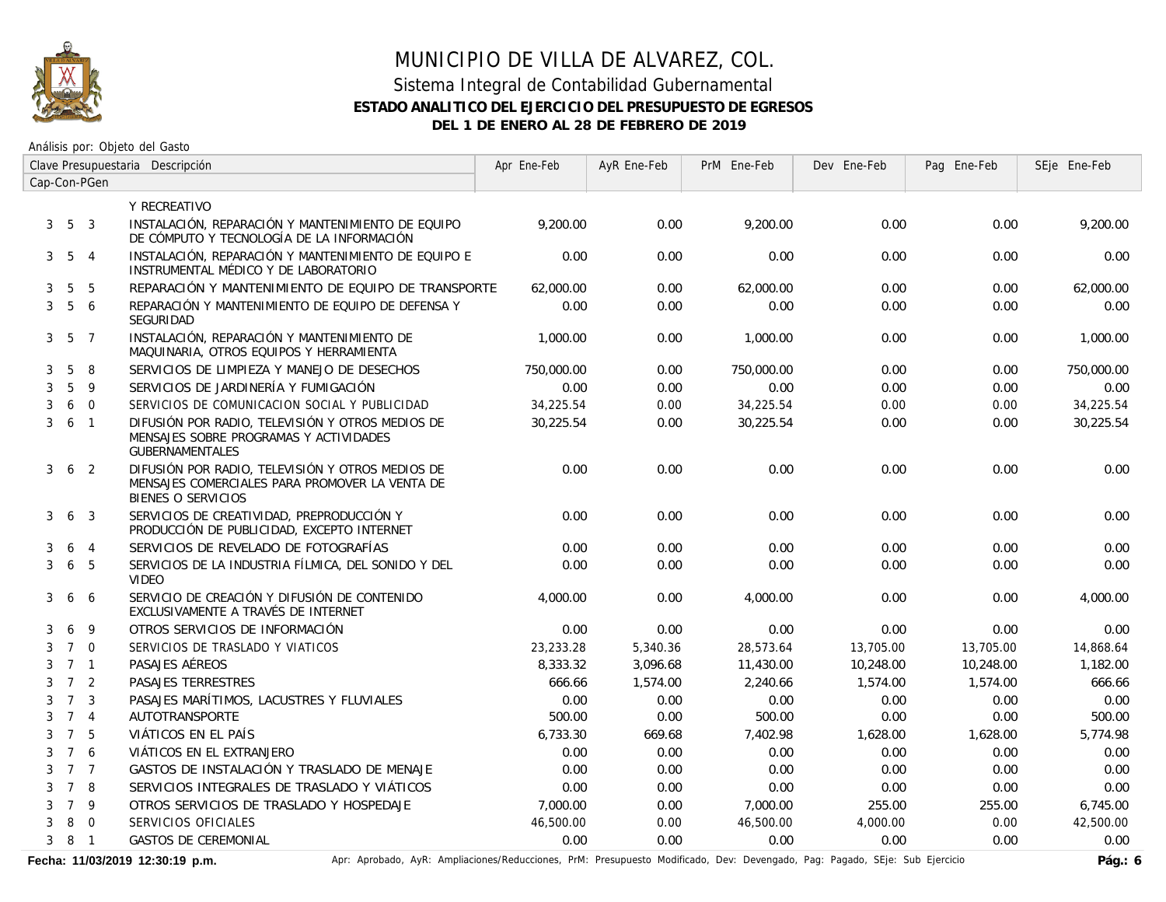

### Sistema Integral de Contabilidad Gubernamental **ESTADO ANALITICO DEL EJERCICIO DEL PRESUPUESTO DE EGRESOS DEL 1 DE ENERO AL 28 DE FEBRERO DE 2019**

Análisis por: Objeto del Gasto

|   | Clave Presupuestaria Descripción |                         |                                                                                                                                 | Apr Ene-Feb | AyR Ene-Feb | PrM Ene-Feb | Dev Ene-Feb | Pag Ene-Feb | SEje Ene-Feb |
|---|----------------------------------|-------------------------|---------------------------------------------------------------------------------------------------------------------------------|-------------|-------------|-------------|-------------|-------------|--------------|
|   |                                  | Cap-Con-PGen            |                                                                                                                                 |             |             |             |             |             |              |
|   |                                  |                         | Y RECREATIVO                                                                                                                    |             |             |             |             |             |              |
| 3 | 5 <sup>3</sup>                   |                         | INSTALACIÓN, REPARACIÓN Y MANTENIMIENTO DE EQUIPO<br>DE CÓMPUTO Y TECNOLOGÍA DE LA INFORMACIÓN                                  | 9,200.00    | 0.00        | 9.200.00    | 0.00        | 0.00        | 9,200.00     |
|   | $3\quad 5\quad 4$                |                         | INSTALACIÓN, REPARACIÓN Y MANTENIMIENTO DE EQUIPO E<br>INSTRUMENTAL MÉDICO Y DE LABORATORIO                                     | 0.00        | 0.00        | 0.00        | 0.00        | 0.00        | 0.00         |
| 3 | 5                                | - 5                     | REPARACIÓN Y MANTENIMIENTO DE EQUIPO DE TRANSPORTE                                                                              | 62,000.00   | 0.00        | 62,000.00   | 0.00        | 0.00        | 62,000.00    |
| 3 | $5\overline{)}$                  | 6                       | REPARACIÓN Y MANTENIMIENTO DE EQUIPO DE DEFENSA Y<br><b>SEGURIDAD</b>                                                           | 0.00        | 0.00        | 0.00        | 0.00        | 0.00        | 0.00         |
|   | $3\quad 5\quad 7$                |                         | INSTALACIÓN, REPARACIÓN Y MANTENIMIENTO DE<br>MAQUINARIA, OTROS EQUIPOS Y HERRAMIENTA                                           | 1,000.00    | 0.00        | 1,000.00    | 0.00        | 0.00        | 1,000.00     |
| 3 | 5                                | 8                       | SERVICIOS DE LIMPIEZA Y MANEJO DE DESECHOS                                                                                      | 750,000.00  | 0.00        | 750,000.00  | 0.00        | 0.00        | 750,000.00   |
| 3 | 5                                | 9                       | SERVICIOS DE JARDINERÍA Y FUMIGACIÓN                                                                                            | 0.00        | 0.00        | 0.00        | 0.00        | 0.00        | 0.00         |
| 3 |                                  | 6 0                     | SERVICIOS DE COMUNICACION SOCIAL Y PUBLICIDAD                                                                                   | 34,225.54   | 0.00        | 34,225.54   | 0.00        | 0.00        | 34,225.54    |
| 3 | 6 1                              |                         | DIFUSIÓN POR RADIO, TELEVISIÓN Y OTROS MEDIOS DE<br>MENSAJES SOBRE PROGRAMAS Y ACTIVIDADES<br><b>GUBERNAMENTALES</b>            | 30,225.54   | 0.00        | 30,225.54   | 0.00        | 0.00        | 30,225.54    |
| 3 | 6 <sub>2</sub>                   |                         | DIFUSIÓN POR RADIO, TELEVISIÓN Y OTROS MEDIOS DE<br>MENSAJES COMERCIALES PARA PROMOVER LA VENTA DE<br><b>BIENES O SERVICIOS</b> | 0.00        | 0.00        | 0.00        | 0.00        | 0.00        | 0.00         |
| 3 | 6                                | $\mathbf{3}$            | SERVICIOS DE CREATIVIDAD, PREPRODUCCIÓN Y<br>PRODUCCIÓN DE PUBLICIDAD, EXCEPTO INTERNET                                         | 0.00        | 0.00        | 0.00        | 0.00        | 0.00        | 0.00         |
| 3 | 6                                | $\overline{4}$          | SERVICIOS DE REVELADO DE FOTOGRAFÍAS                                                                                            | 0.00        | 0.00        | 0.00        | 0.00        | 0.00        | 0.00         |
| 3 | 6                                | 5                       | SERVICIOS DE LA INDUSTRIA FÍLMICA, DEL SONIDO Y DEL<br><b>VIDEO</b>                                                             | 0.00        | 0.00        | 0.00        | 0.00        | 0.00        | 0.00         |
| 3 |                                  | 6 6                     | SERVICIO DE CREACIÓN Y DIFUSIÓN DE CONTENIDO<br>EXCLUSIVAMENTE A TRAVÉS DE INTERNET                                             | 4,000.00    | 0.00        | 4,000.00    | 0.00        | 0.00        | 4,000.00     |
| 3 | 6                                | 9                       | OTROS SERVICIOS DE INFORMACIÓN                                                                                                  | 0.00        | 0.00        | 0.00        | 0.00        | 0.00        | 0.00         |
| 3 | 7 0                              |                         | SERVICIOS DE TRASLADO Y VIATICOS                                                                                                | 23,233.28   | 5,340.36    | 28,573.64   | 13,705.00   | 13,705.00   | 14,868.64    |
| 3 | 7 <sub>1</sub>                   |                         | PASAJES AÉREOS                                                                                                                  | 8,333.32    | 3,096.68    | 11,430.00   | 10,248.00   | 10,248.00   | 1,182.00     |
| 3 | 7 <sup>2</sup>                   |                         | PASAJES TERRESTRES                                                                                                              | 666.66      | 1,574.00    | 2,240.66    | 1,574.00    | 1,574.00    | 666.66       |
| 3 | $7^{\circ}$                      | $\overline{\mathbf{3}}$ | PASAJES MARÍTIMOS, LACUSTRES Y FLUVIALES                                                                                        | 0.00        | 0.00        | 0.00        | 0.00        | 0.00        | 0.00         |
| 3 | 7 <sub>4</sub>                   |                         | AUTOTRANSPORTE                                                                                                                  | 500.00      | 0.00        | 500.00      | 0.00        | 0.00        | 500.00       |
| 3 | 7 5                              |                         | VIÁTICOS EN EL PAÍS                                                                                                             | 6,733.30    | 669.68      | 7,402.98    | 1,628.00    | 1,628.00    | 5.774.98     |
| 3 | 7 6                              |                         | VIÁTICOS EN EL EXTRANJERO                                                                                                       | 0.00        | 0.00        | 0.00        | 0.00        | 0.00        | 0.00         |
| 3 | 7 7                              |                         | GASTOS DE INSTALACIÓN Y TRASLADO DE MENAJE                                                                                      | 0.00        | 0.00        | 0.00        | 0.00        | 0.00        | 0.00         |
| 3 | 7 8                              |                         | SERVICIOS INTEGRALES DE TRASLADO Y VIÁTICOS                                                                                     | 0.00        | 0.00        | 0.00        | 0.00        | 0.00        | 0.00         |
| 3 | 7 9                              |                         | OTROS SERVICIOS DE TRASLADO Y HOSPEDAJE                                                                                         | 7,000.00    | 0.00        | 7,000.00    | 255.00      | 255.00      | 6,745.00     |
| 3 |                                  | 8 0                     | SERVICIOS OFICIALES                                                                                                             | 46,500.00   | 0.00        | 46,500.00   | 4,000.00    | 0.00        | 42,500.00    |
|   | 381                              |                         | <b>GASTOS DE CEREMONIAL</b>                                                                                                     | 0.00        | 0.00        | 0.00        | 0.00        | 0.00        | 0.00         |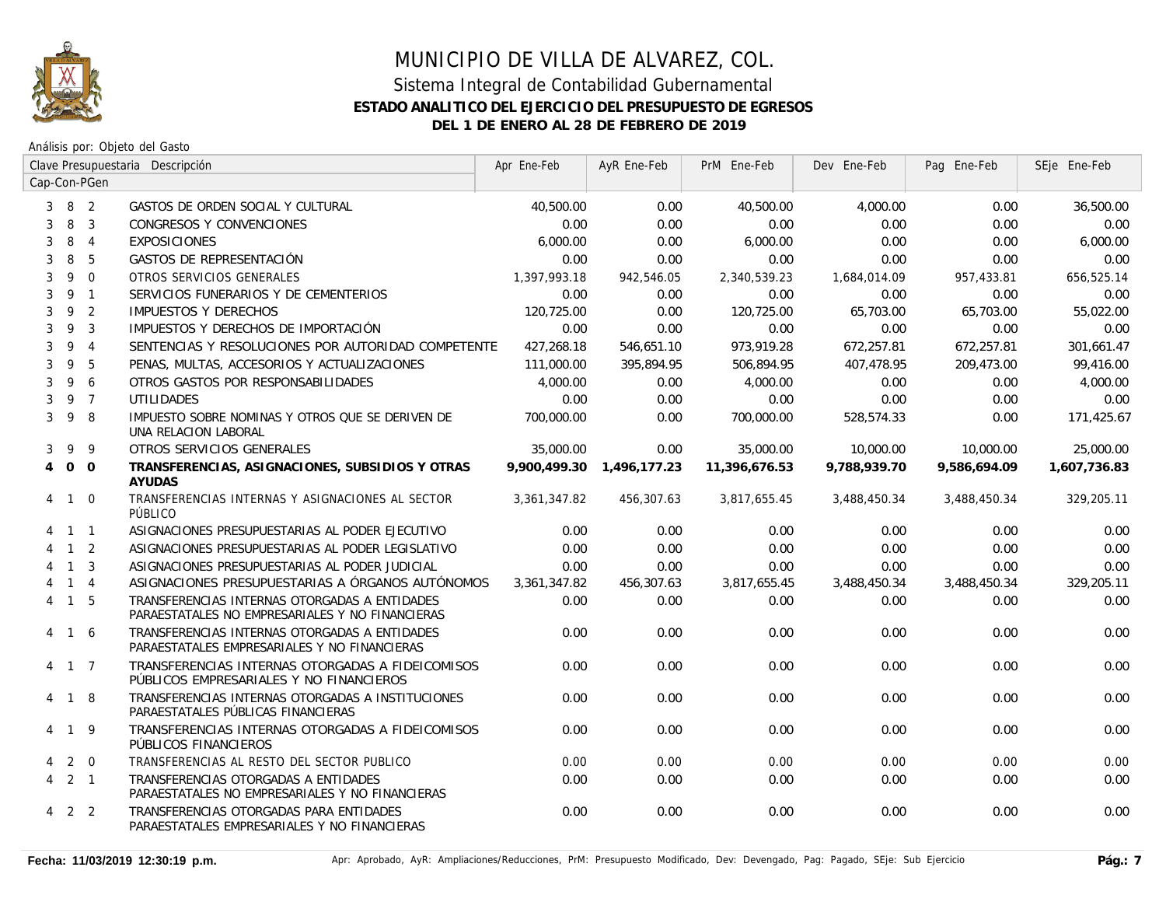

|                | Clave Presupuestaria Descripción |                | Apr Ene-Feb                                                                                      | AyR Ene-Feb  | PrM Ene-Feb  | Dev Ene-Feb   | Pag Ene-Feb  | SEje Ene-Feb |              |
|----------------|----------------------------------|----------------|--------------------------------------------------------------------------------------------------|--------------|--------------|---------------|--------------|--------------|--------------|
|                |                                  | Cap-Con-PGen   |                                                                                                  |              |              |               |              |              |              |
| 3              | 8 2                              |                | GASTOS DE ORDEN SOCIAL Y CULTURAL                                                                | 40,500.00    | 0.00         | 40,500.00     | 4,000.00     | 0.00         | 36,500.00    |
| 3              | 8                                | $\overline{3}$ | CONGRESOS Y CONVENCIONES                                                                         | 0.00         | 0.00         | 0.00          | 0.00         | 0.00         | 0.00         |
| 3              | 8                                | $\overline{4}$ | <b>EXPOSICIONES</b>                                                                              | 6,000.00     | 0.00         | 6,000.00      | 0.00         | 0.00         | 6,000.00     |
| 3              | 8                                | 5              | GASTOS DE REPRESENTACIÓN                                                                         | 0.00         | 0.00         | 0.00          | 0.00         | 0.00         | 0.00         |
| 3              | 9                                | $\Omega$       | OTROS SERVICIOS GENERALES                                                                        | 1,397,993.18 | 942,546.05   | 2,340,539.23  | 1,684,014.09 | 957,433.81   | 656,525.14   |
| 3              |                                  | 9 1            | SERVICIOS FUNERARIOS Y DE CEMENTERIOS                                                            | 0.00         | 0.00         | 0.00          | 0.00         | 0.00         | 0.00         |
| 3              | 9                                | 2              | <b>IMPUESTOS Y DERECHOS</b>                                                                      | 120,725.00   | 0.00         | 120,725.00    | 65,703.00    | 65,703.00    | 55,022.00    |
| 3              | 9                                | $\mathbf{3}$   | IMPUESTOS Y DERECHOS DE IMPORTACIÓN                                                              | 0.00         | 0.00         | 0.00          | 0.00         | 0.00         | 0.00         |
| 3              | 9                                | $\overline{4}$ | SENTENCIAS Y RESOLUCIONES POR AUTORIDAD COMPETENTE                                               | 427,268.18   | 546,651.10   | 973,919.28    | 672,257.81   | 672,257.81   | 301,661.47   |
| 3              | 9                                | 5              | PENAS, MULTAS, ACCESORIOS Y ACTUALIZACIONES                                                      | 111,000.00   | 395,894.95   | 506,894.95    | 407.478.95   | 209,473.00   | 99,416.00    |
| 3              | 9                                | 6              | OTROS GASTOS POR RESPONSABILIDADES                                                               | 4,000.00     | 0.00         | 4,000.00      | 0.00         | 0.00         | 4,000.00     |
| 3              |                                  | 9 7            | <b>UTILIDADES</b>                                                                                | 0.00         | 0.00         | 0.00          | 0.00         | 0.00         | 0.00         |
| 3              | 9                                | 8              | IMPUESTO SOBRE NOMINAS Y OTROS QUE SE DERIVEN DE<br>UNA RELACION LABORAL                         | 700,000.00   | 0.00         | 700,000.00    | 528,574.33   | 0.00         | 171,425.67   |
| 3              | 9                                | 9              | OTROS SERVICIOS GENERALES                                                                        | 35,000.00    | 0.00         | 35,000.00     | 10,000.00    | 10,000.00    | 25,000.00    |
| $\overline{4}$ | $0\quad 0$                       |                | TRANSFERENCIAS, ASIGNACIONES, SUBSIDIOS Y OTRAS<br><b>AYUDAS</b>                                 | 9,900,499,30 | 1.496.177.23 | 11,396,676.53 | 9.788.939.70 | 9.586.694.09 | 1,607,736.83 |
|                | 4 1 0                            |                | TRANSFERENCIAS INTERNAS Y ASIGNACIONES AL SECTOR<br>PÚBLICO                                      | 3,361,347.82 | 456,307.63   | 3,817,655.45  | 3,488,450.34 | 3,488,450.34 | 329,205.11   |
|                | $1\quad1$                        |                | ASIGNACIONES PRESUPUESTARIAS AL PODER EJECUTIVO                                                  | 0.00         | 0.00         | 0.00          | 0.00         | 0.00         | 0.00         |
|                | $1\quad 2$                       |                | ASIGNACIONES PRESUPUESTARIAS AL PODER LEGISLATIVO                                                | 0.00         | 0.00         | 0.00          | 0.00         | 0.00         | 0.00         |
|                | $\overline{1}$                   | 3              | ASIGNACIONES PRESUPUESTARIAS AL PODER JUDICIAL                                                   | 0.00         | 0.00         | 0.00          | 0.00         | 0.00         | 0.00         |
|                | $\overline{1}$                   | $\overline{4}$ | ASIGNACIONES PRESUPUESTARIAS A ÓRGANOS AUTÓNOMOS                                                 | 3,361,347.82 | 456,307.63   | 3,817,655.45  | 3,488,450.34 | 3,488,450.34 | 329,205.11   |
| 4              | 1 5                              |                | TRANSFERENCIAS INTERNAS OTORGADAS A ENTIDADES<br>PARAESTATALES NO EMPRESARIALES Y NO FINANCIERAS | 0.00         | 0.00         | 0.00          | 0.00         | 0.00         | 0.00         |
|                | 4 1 6                            |                | TRANSFERENCIAS INTERNAS OTORGADAS A ENTIDADES<br>PARAESTATALES EMPRESARIALES Y NO FINANCIERAS    | 0.00         | 0.00         | 0.00          | 0.00         | 0.00         | 0.00         |
|                | 4 1 7                            |                | TRANSFERENCIAS INTERNAS OTORGADAS A FIDEICOMISOS<br>PÚBLICOS EMPRESARIALES Y NO FINANCIEROS      | 0.00         | 0.00         | 0.00          | 0.00         | 0.00         | 0.00         |
|                | 4 1 8                            |                | TRANSFERENCIAS INTERNAS OTORGADAS A INSTITUCIONES<br>PARAESTATALES PÚBLICAS FINANCIERAS          | 0.00         | 0.00         | 0.00          | 0.00         | 0.00         | 0.00         |
|                | 4 1 9                            |                | TRANSFERENCIAS INTERNAS OTORGADAS A FIDEICOMISOS<br>PÚBLICOS FINANCIEROS                         | 0.00         | 0.00         | 0.00          | 0.00         | 0.00         | 0.00         |
| 4              | $2\quad 0$                       |                | TRANSFERENCIAS AL RESTO DEL SECTOR PUBLICO                                                       | 0.00         | 0.00         | 0.00          | 0.00         | 0.00         | 0.00         |
| 4              | $2 \quad 1$                      |                | TRANSFERENCIAS OTORGADAS A ENTIDADES<br>PARAESTATALES NO EMPRESARIALES Y NO FINANCIERAS          | 0.00         | 0.00         | 0.00          | 0.00         | 0.00         | 0.00         |
|                | $4$ 2 2                          |                | TRANSFERENCIAS OTORGADAS PARA ENTIDADES<br>PARAESTATALES EMPRESARIALES Y NO FINANCIERAS          | 0.00         | 0.00         | 0.00          | 0.00         | 0.00         | 0.00         |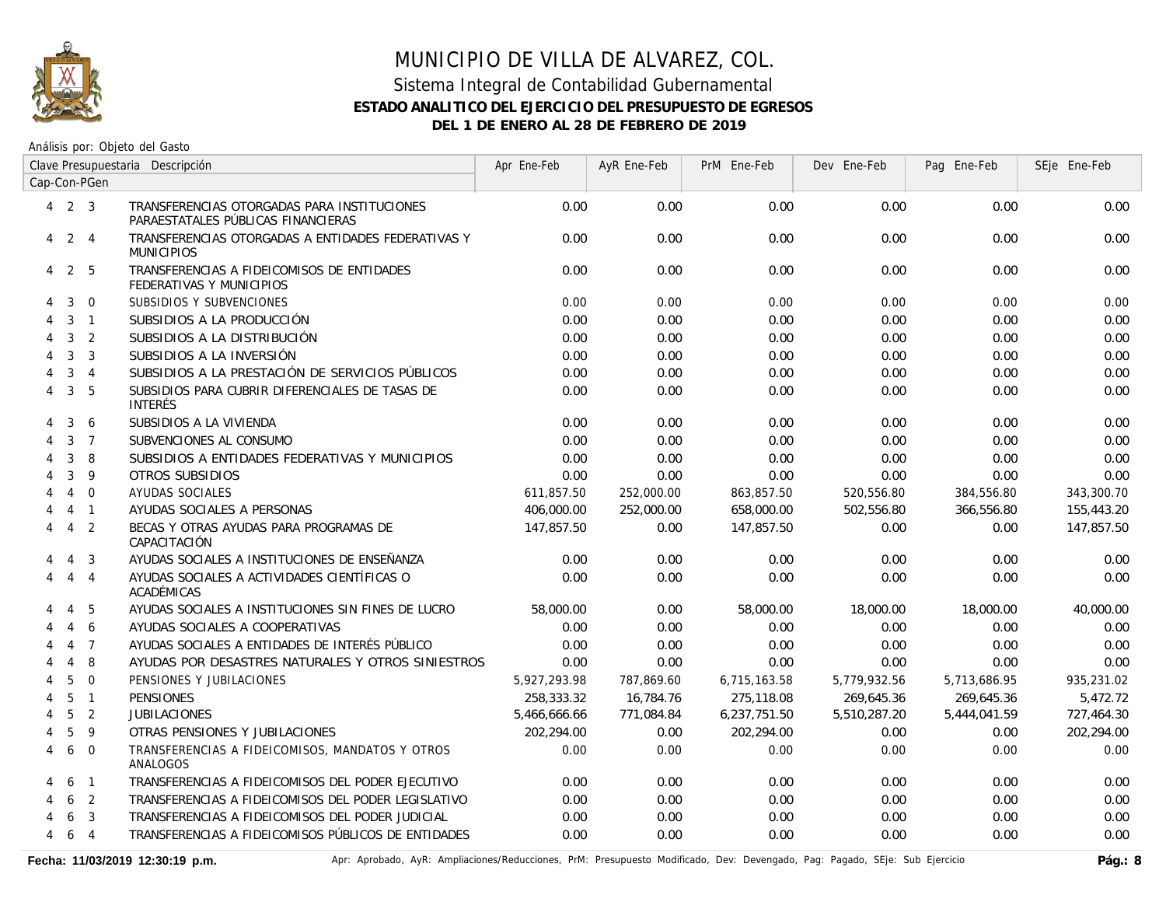

Análisis por: Objeto del Gasto

|                           |                   |                | Clave Presupuestaria Descripción                                                  | Apr Ene-Feb  | AyR Ene-Feb | PrM Ene-Feb  | Dev Ene-Feb  | Pag Ene-Feb  | SEje Ene-Feb |
|---------------------------|-------------------|----------------|-----------------------------------------------------------------------------------|--------------|-------------|--------------|--------------|--------------|--------------|
|                           |                   | Cap-Con-PGen   |                                                                                   |              |             |              |              |              |              |
|                           | $4\quad 2\quad 3$ |                | TRANSFERENCIAS OTORGADAS PARA INSTITUCIONES<br>PARAESTATALES PÚBLICAS FINANCIERAS | 0.00         | 0.00        | 0.00         | 0.00         | 0.00         | 0.00         |
| 4                         | $\overline{2}$    | $\overline{4}$ | TRANSFERENCIAS OTORGADAS A ENTIDADES FEDERATIVAS Y<br><b>MUNICIPIOS</b>           | 0.00         | 0.00        | 0.00         | 0.00         | 0.00         | 0.00         |
| 4                         | 2 5               |                | TRANSFERENCIAS A FIDEICOMISOS DE ENTIDADES<br>FEDERATIVAS Y MUNICIPIOS            | 0.00         | 0.00        | 0.00         | 0.00         | 0.00         | 0.00         |
| 4                         | 3                 | $\overline{0}$ | SUBSIDIOS Y SUBVENCIONES                                                          | 0.00         | 0.00        | 0.00         | 0.00         | 0.00         | 0.00         |
| 4                         | 3                 | $\overline{1}$ | SUBSIDIOS A LA PRODUCCIÓN                                                         | 0.00         | 0.00        | 0.00         | 0.00         | 0.00         | 0.00         |
| 4                         | 3                 | 2              | SUBSIDIOS A LA DISTRIBUCIÓN                                                       | 0.00         | 0.00        | 0.00         | 0.00         | 0.00         | 0.00         |
| 4                         | 3                 | $\overline{3}$ | SUBSIDIOS A LA INVERSIÓN                                                          | 0.00         | 0.00        | 0.00         | 0.00         | 0.00         | 0.00         |
|                           | 3                 | $\overline{4}$ | SUBSIDIOS A LA PRESTACIÓN DE SERVICIOS PÚBLICOS                                   | 0.00         | 0.00        | 0.00         | 0.00         | 0.00         | 0.00         |
| 4                         | 3                 | 5              | SUBSIDIOS PARA CUBRIR DIFERENCIALES DE TASAS DE<br><b>INTERÉS</b>                 | 0.00         | 0.00        | 0.00         | 0.00         | 0.00         | 0.00         |
| 4                         | 3                 | 6              | SUBSIDIOS A LA VIVIENDA                                                           | 0.00         | 0.00        | 0.00         | 0.00         | 0.00         | 0.00         |
| 4                         | 3                 | $\overline{7}$ | SUBVENCIONES AL CONSUMO                                                           | 0.00         | 0.00        | 0.00         | 0.00         | 0.00         | 0.00         |
|                           | 3                 | 8              | SUBSIDIOS A ENTIDADES FEDERATIVAS Y MUNICIPIOS                                    | 0.00         | 0.00        | 0.00         | 0.00         | 0.00         | 0.00         |
|                           | 3                 | 9              | OTROS SUBSIDIOS                                                                   | 0.00         | 0.00        | 0.00         | 0.00         | 0.00         | 0.00         |
|                           | $\overline{4}$    | $\overline{0}$ | AYUDAS SOCIALES                                                                   | 611,857.50   | 252,000.00  | 863,857.50   | 520,556.80   | 384,556.80   | 343,300.70   |
|                           | $\overline{4}$    | $\overline{1}$ | AYUDAS SOCIALES A PERSONAS                                                        | 406,000.00   | 252,000.00  | 658,000.00   | 502,556.80   | 366,556.80   | 155,443.20   |
| 4                         | $\overline{4}$    | $\overline{2}$ | BECAS Y OTRAS AYUDAS PARA PROGRAMAS DE<br>CAPACITACIÓN                            | 147.857.50   | 0.00        | 147.857.50   | 0.00         | 0.00         | 147,857.50   |
| 4                         | $\overline{4}$    | 3              | AYUDAS SOCIALES A INSTITUCIONES DE ENSEÑANZA                                      | 0.00         | 0.00        | 0.00         | 0.00         | 0.00         | 0.00         |
| 4                         | $\overline{4}$    | $\overline{4}$ | AYUDAS SOCIALES A ACTIVIDADES CIENTÍFICAS O<br>ACADÉMICAS                         | 0.00         | 0.00        | 0.00         | 0.00         | 0.00         | 0.00         |
|                           | 4                 | -5             | AYUDAS SOCIALES A INSTITUCIONES SIN FINES DE LUCRO                                | 58,000.00    | 0.00        | 58,000.00    | 18,000.00    | 18,000.00    | 40,000.00    |
|                           | $\overline{4}$    | 6              | AYUDAS SOCIALES A COOPERATIVAS                                                    | 0.00         | 0.00        | 0.00         | 0.00         | 0.00         | 0.00         |
|                           | $\overline{4}$    | $\overline{7}$ | AYUDAS SOCIALES A ENTIDADES DE INTERÉS PÚBLICO                                    | 0.00         | 0.00        | 0.00         | 0.00         | 0.00         | 0.00         |
|                           | $\overline{4}$    | 8              | AYUDAS POR DESASTRES NATURALES Y OTROS SINIESTROS                                 | 0.00         | 0.00        | 0.00         | 0.00         | 0.00         | 0.00         |
| $\boldsymbol{\varLambda}$ | 5                 | $\overline{0}$ | PENSIONES Y JUBILACIONES                                                          | 5,927,293.98 | 787,869.60  | 6,715,163.58 | 5,779,932.56 | 5,713,686.95 | 935,231.02   |
|                           | 5                 | $\overline{1}$ | <b>PENSIONES</b>                                                                  | 258,333.32   | 16,784.76   | 275,118.08   | 269,645.36   | 269,645.36   | 5,472.72     |
|                           | 5                 | $\overline{2}$ | <b>JUBILACIONES</b>                                                               | 5,466,666.66 | 771,084.84  | 6,237,751.50 | 5,510,287.20 | 5,444,041.59 | 727,464.30   |
|                           | 5                 | 9              | OTRAS PENSIONES Y JUBILACIONES                                                    | 202,294.00   | 0.00        | 202,294.00   | 0.00         | 0.00         | 202,294.00   |
| 4                         | 6                 | $\Omega$       | TRANSFERENCIAS A FIDEICOMISOS, MANDATOS Y OTROS<br>ANALOGOS                       | 0.00         | 0.00        | 0.00         | 0.00         | 0.00         | 0.00         |
| 4                         | 6                 | $\overline{1}$ | TRANSFERENCIAS A FIDEICOMISOS DEL PODER EJECUTIVO                                 | 0.00         | 0.00        | 0.00         | 0.00         | 0.00         | 0.00         |
| 4                         | 6                 | 2              | TRANSFERENCIAS A FIDEICOMISOS DEL PODER LEGISLATIVO                               | 0.00         | 0.00        | 0.00         | 0.00         | 0.00         | 0.00         |
| 4                         | 6                 | $\mathbf{3}$   | TRANSFERENCIAS A FIDEICOMISOS DEL PODER JUDICIAL                                  | 0.00         | 0.00        | 0.00         | 0.00         | 0.00         | 0.00         |
| 4                         | 6                 | $\overline{4}$ | TRANSFERENCIAS A FIDEICOMISOS PÚBLICOS DE ENTIDADES                               | 0.00         | 0.00        | 0.00         | 0.00         | 0.00         | 0.00         |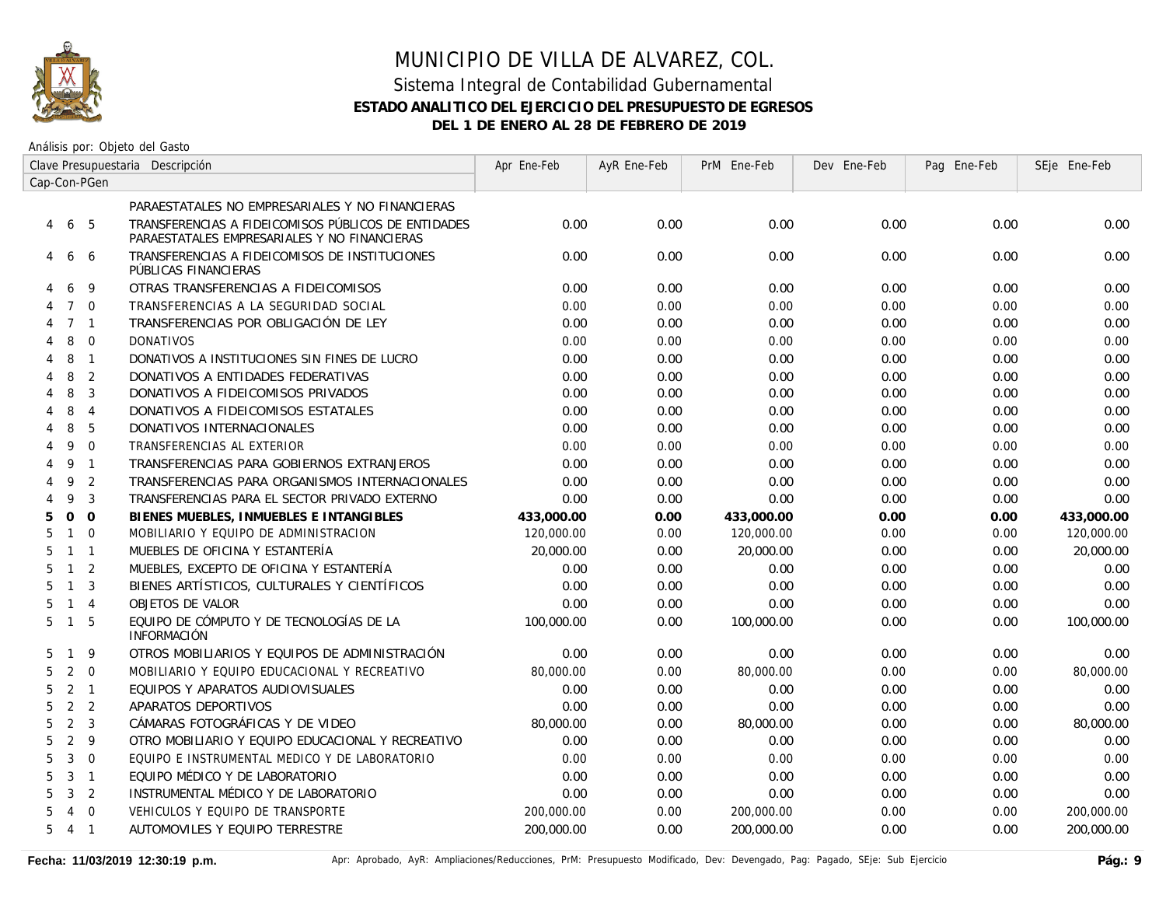

Análisis por: Objeto del Gasto

|   | Clave Presupuestaria Descripción |                |                                                                                                     | Apr Ene-Feb | AyR Ene-Feb | PrM Ene-Feb | Dev Ene-Feb | Pag Ene-Feb | SEje Ene-Feb |
|---|----------------------------------|----------------|-----------------------------------------------------------------------------------------------------|-------------|-------------|-------------|-------------|-------------|--------------|
|   |                                  | Cap-Con-PGen   |                                                                                                     |             |             |             |             |             |              |
|   |                                  |                | PARAESTATALES NO EMPRESARIALES Y NO FINANCIERAS                                                     |             |             |             |             |             |              |
| 4 | 6                                | -5             | TRANSFERENCIAS A FIDEICOMISOS PÚBLICOS DE ENTIDADES<br>PARAESTATALES EMPRESARIALES Y NO FINANCIERAS | 0.00        | 0.00        | 0.00        | 0.00        | 0.00        | 0.00         |
| 4 | 6                                | -6             | TRANSFERENCIAS A FIDEICOMISOS DE INSTITUCIONES<br>PÚBLICAS FINANCIERAS                              | 0.00        | 0.00        | 0.00        | 0.00        | 0.00        | 0.00         |
|   | 6                                | 9              | OTRAS TRANSFERENCIAS A FIDEICOMISOS                                                                 | 0.00        | 0.00        | 0.00        | 0.00        | 0.00        | 0.00         |
|   | $7^{\circ}$                      | $\overline{0}$ | TRANSFERENCIAS A LA SEGURIDAD SOCIAL                                                                | 0.00        | 0.00        | 0.00        | 0.00        | 0.00        | 0.00         |
|   | 7 <sub>1</sub>                   |                | TRANSFERENCIAS POR OBLIGACIÓN DE LEY                                                                | 0.00        | 0.00        | 0.00        | 0.00        | 0.00        | 0.00         |
| 4 | 8                                | $\overline{0}$ | <b>DONATIVOS</b>                                                                                    | 0.00        | 0.00        | 0.00        | 0.00        | 0.00        | 0.00         |
| 4 | 8                                | $\overline{1}$ | DONATIVOS A INSTITUCIONES SIN FINES DE LUCRO                                                        | 0.00        | 0.00        | 0.00        | 0.00        | 0.00        | 0.00         |
| 4 | 8                                | $\overline{2}$ | DONATIVOS A ENTIDADES FEDERATIVAS                                                                   | 0.00        | 0.00        | 0.00        | 0.00        | 0.00        | 0.00         |
| 4 | 8                                | 3              | DONATIVOS A FIDEICOMISOS PRIVADOS                                                                   | 0.00        | 0.00        | 0.00        | 0.00        | 0.00        | 0.00         |
| 4 | 8                                | $\overline{4}$ | DONATIVOS A FIDEICOMISOS ESTATALES                                                                  | 0.00        | 0.00        | 0.00        | 0.00        | 0.00        | 0.00         |
|   | 8                                | 5              | DONATIVOS INTERNACIONALES                                                                           | 0.00        | 0.00        | 0.00        | 0.00        | 0.00        | 0.00         |
| 4 | 9                                | $\Omega$       | TRANSFERENCIAS AL EXTERIOR                                                                          | 0.00        | 0.00        | 0.00        | 0.00        | 0.00        | 0.00         |
| 4 | 9                                | $\overline{1}$ | TRANSFERENCIAS PARA GOBIERNOS EXTRANJEROS                                                           | 0.00        | 0.00        | 0.00        | 0.00        | 0.00        | 0.00         |
|   | 9                                | 2              | TRANSFERENCIAS PARA ORGANISMOS INTERNACIONALES                                                      | 0.00        | 0.00        | 0.00        | 0.00        | 0.00        | 0.00         |
| 4 | 9                                | $\overline{3}$ | TRANSFERENCIAS PARA EL SECTOR PRIVADO EXTERNO                                                       | 0.00        | 0.00        | 0.00        | 0.00        | 0.00        | 0.00         |
| 5 | $\circ$                          | $\Omega$       | BIENES MUEBLES, INMUEBLES E INTANGIBLES                                                             | 433,000.00  | 0.00        | 433,000.00  | 0.00        | 0.00        | 433,000.00   |
| 5 | $\mathbf{1}$                     | $\Omega$       | MOBILIARIO Y EQUIPO DE ADMINISTRACION                                                               | 120,000.00  | 0.00        | 120,000.00  | 0.00        | 0.00        | 120,000.00   |
| 5 | $1 \quad 1$                      |                | MUEBLES DE OFICINA Y ESTANTERÍA                                                                     | 20,000.00   | 0.00        | 20,000.00   | 0.00        | 0.00        | 20,000.00    |
| 5 | $\overline{1}$                   | $\overline{2}$ | MUEBLES, EXCEPTO DE OFICINA Y ESTANTERÍA                                                            | 0.00        | 0.00        | 0.00        | 0.00        | 0.00        | 0.00         |
| 5 | $\mathbf{1}$                     | $\overline{3}$ | BIENES ARTÍSTICOS, CULTURALES Y CIENTÍFICOS                                                         | 0.00        | 0.00        | 0.00        | 0.00        | 0.00        | 0.00         |
| 5 | $1 \quad 4$                      |                | <b>OBJETOS DE VALOR</b>                                                                             | 0.00        | 0.00        | 0.00        | 0.00        | 0.00        | 0.00         |
| 5 | $1\quad5$                        |                | EQUIPO DE CÓMPUTO Y DE TECNOLOGÍAS DE LA<br><b>INFORMACIÓN</b>                                      | 100,000.00  | 0.00        | 100,000.00  | 0.00        | 0.00        | 100,000.00   |
| 5 | $\mathbf{1}$                     | - 9            | OTROS MOBILIARIOS Y EQUIPOS DE ADMINISTRACIÓN                                                       | 0.00        | 0.00        | 0.00        | 0.00        | 0.00        | 0.00         |
| 5 | 2                                | $\Omega$       | MOBILIARIO Y EQUIPO EDUCACIONAL Y RECREATIVO                                                        | 80,000.00   | 0.00        | 80,000.00   | 0.00        | 0.00        | 80,000.00    |
| 5 | $2 \quad 1$                      |                | EQUIPOS Y APARATOS AUDIOVISUALES                                                                    | 0.00        | 0.00        | 0.00        | 0.00        | 0.00        | 0.00         |
| 5 |                                  | 2 <sub>2</sub> | APARATOS DEPORTIVOS                                                                                 | 0.00        | 0.00        | 0.00        | 0.00        | 0.00        | 0.00         |
| 5 | $2 \quad 3$                      |                | CÁMARAS FOTOGRÁFICAS Y DE VIDEO                                                                     | 80,000.00   | 0.00        | 80,000.00   | 0.00        | 0.00        | 80,000.00    |
| 5 | 2                                | 9              | OTRO MOBILIARIO Y EQUIPO EDUCACIONAL Y RECREATIVO                                                   | 0.00        | 0.00        | 0.00        | 0.00        | 0.00        | 0.00         |
| 5 | $\mathbf{3}$                     | $\overline{0}$ | EQUIPO E INSTRUMENTAL MEDICO Y DE LABORATORIO                                                       | 0.00        | 0.00        | 0.00        | 0.00        | 0.00        | 0.00         |
| 5 | 3                                | $\overline{1}$ | EQUIPO MÉDICO Y DE LABORATORIO                                                                      | 0.00        | 0.00        | 0.00        | 0.00        | 0.00        | 0.00         |
| 5 | 3                                | 2              | INSTRUMENTAL MÉDICO Y DE LABORATORIO                                                                | 0.00        | 0.00        | 0.00        | 0.00        | 0.00        | 0.00         |
| 5 | $\overline{4}$                   | $\Omega$       | VEHICULOS Y EQUIPO DE TRANSPORTE                                                                    | 200,000.00  | 0.00        | 200,000.00  | 0.00        | 0.00        | 200,000.00   |
|   | $5\quad 4\quad 1$                |                | AUTOMOVILES Y EQUIPO TERRESTRE                                                                      | 200,000.00  | 0.00        | 200,000.00  | 0.00        | 0.00        | 200,000.00   |
|   |                                  |                |                                                                                                     |             |             |             |             |             |              |

Fecha: 11/03/2019 12:30:19 p.m. **Aprical Aprical Agelia**, AyR: Ampliaciones/Reducciones, PrM: Presupuesto Modificado, Dev: Devengado, Pag: Pagado, SEje: Sub Ejercicio **Pág.: 9**<br>Pág.: 9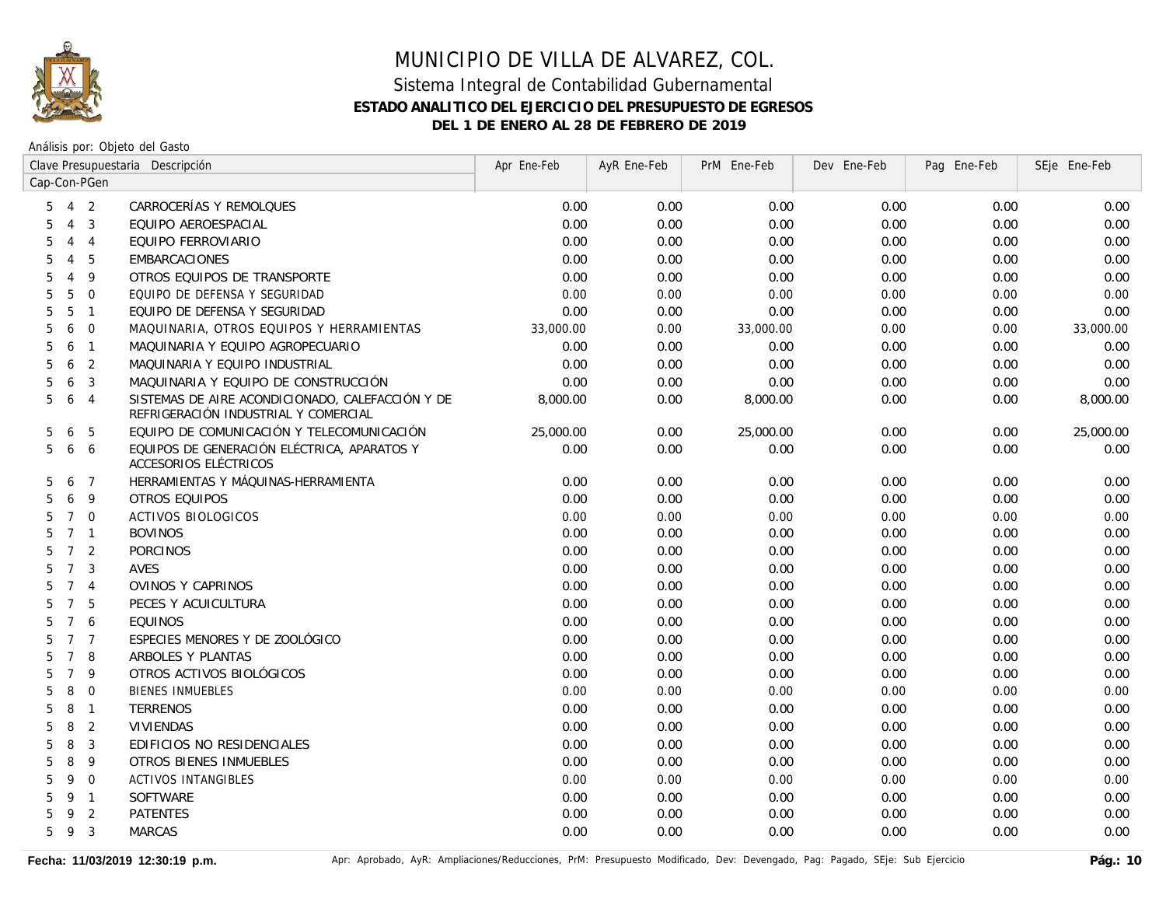

|                   | Clave Presupuestaria Descripción |                |                                                                                          | Apr Ene-Feb | AyR Ene-Feb | PrM Ene-Feb | Dev Ene-Feb | Pag Ene-Feb | SEje Ene-Feb |
|-------------------|----------------------------------|----------------|------------------------------------------------------------------------------------------|-------------|-------------|-------------|-------------|-------------|--------------|
| Cap-Con-PGen      |                                  |                |                                                                                          |             |             |             |             |             |              |
| $5\quad 4\quad 2$ |                                  |                | CARROCERÍAS Y REMOLQUES                                                                  | 0.00        | 0.00        | 0.00        | 0.00        | 0.00        | 0.00         |
| 5                 | $\overline{4}$                   | $\overline{3}$ | EQUIPO AEROESPACIAL                                                                      | 0.00        | 0.00        | 0.00        | 0.00        | 0.00        | 0.00         |
| 5                 | $\overline{4}$                   | $\overline{4}$ | EQUIPO FERROVIARIO                                                                       | 0.00        | 0.00        | 0.00        | 0.00        | 0.00        | 0.00         |
| 5                 | $\overline{4}$                   | 5              | <b>EMBARCACIONES</b>                                                                     | 0.00        | 0.00        | 0.00        | 0.00        | 0.00        | 0.00         |
| 5                 | $\overline{4}$                   | 9              | OTROS EQUIPOS DE TRANSPORTE                                                              | 0.00        | 0.00        | 0.00        | 0.00        | 0.00        | 0.00         |
| 5                 | 5                                | $\overline{0}$ | EQUIPO DE DEFENSA Y SEGURIDAD                                                            | 0.00        | 0.00        | 0.00        | 0.00        | 0.00        | 0.00         |
| 5                 | 5                                | $\overline{1}$ | EQUIPO DE DEFENSA Y SEGURIDAD                                                            | 0.00        | 0.00        | 0.00        | 0.00        | 0.00        | 0.00         |
| 5                 | 6                                | $\overline{0}$ | MAQUINARIA, OTROS EQUIPOS Y HERRAMIENTAS                                                 | 33,000.00   | 0.00        | 33,000.00   | 0.00        | 0.00        | 33,000.00    |
| 5                 | 6                                | $\overline{1}$ | MAQUINARIA Y EQUIPO AGROPECUARIO                                                         | 0.00        | 0.00        | 0.00        | 0.00        | 0.00        | 0.00         |
| 5                 | 6                                | $\overline{2}$ | MAQUINARIA Y EQUIPO INDUSTRIAL                                                           | 0.00        | 0.00        | 0.00        | 0.00        | 0.00        | 0.00         |
| 5                 | 6                                | $\overline{3}$ | MAQUINARIA Y EQUIPO DE CONSTRUCCIÓN                                                      | 0.00        | 0.00        | 0.00        | 0.00        | 0.00        | 0.00         |
| 5                 | 6                                | $\overline{4}$ | SISTEMAS DE AIRE ACONDICIONADO, CALEFACCIÓN Y DE<br>REFRIGERACIÓN INDUSTRIAL Y COMERCIAL | 8,000.00    | 0.00        | 8,000.00    | 0.00        | 0.00        | 8,000.00     |
| 5                 | 6                                | 5              | EQUIPO DE COMUNICACIÓN Y TELECOMUNICACIÓN                                                | 25,000.00   | 0.00        | 25,000.00   | 0.00        | 0.00        | 25,000.00    |
| 5                 | 6 6                              |                | EQUIPOS DE GENERACIÓN ELÉCTRICA, APARATOS Y<br>ACCESORIOS ELÉCTRICOS                     | 0.00        | 0.00        | 0.00        | 0.00        | 0.00        | 0.00         |
| 5                 | 6                                | $\overline{7}$ | HERRAMIENTAS Y MÁQUINAS-HERRAMIENTA                                                      | 0.00        | 0.00        | 0.00        | 0.00        | 0.00        | 0.00         |
| 5                 | 6                                | 9              | <b>OTROS EQUIPOS</b>                                                                     | 0.00        | 0.00        | 0.00        | 0.00        | 0.00        | 0.00         |
| 5                 | $7^{\circ}$                      | $\overline{0}$ | <b>ACTIVOS BIOLOGICOS</b>                                                                | 0.00        | 0.00        | 0.00        | 0.00        | 0.00        | 0.00         |
| 5                 | 7 <sub>1</sub>                   |                | <b>BOVINOS</b>                                                                           | 0.00        | 0.00        | 0.00        | 0.00        | 0.00        | 0.00         |
| 5                 | 7 <sub>2</sub>                   |                | <b>PORCINOS</b>                                                                          | 0.00        | 0.00        | 0.00        | 0.00        | 0.00        | 0.00         |
| 5                 | 7 <sup>3</sup>                   |                | <b>AVES</b>                                                                              | 0.00        | 0.00        | 0.00        | 0.00        | 0.00        | 0.00         |
| 5                 | 7 <sub>4</sub>                   |                | OVINOS Y CAPRINOS                                                                        | 0.00        | 0.00        | 0.00        | 0.00        | 0.00        | 0.00         |
| 5                 | $7^{\circ}$                      | 5              | PECES Y ACUICULTURA                                                                      | 0.00        | 0.00        | 0.00        | 0.00        | 0.00        | 0.00         |
| 5                 | $7\overline{ }$                  | 6              | <b>EOUINOS</b>                                                                           | 0.00        | 0.00        | 0.00        | 0.00        | 0.00        | 0.00         |
| 5                 | 7 7                              |                | ESPECIES MENORES Y DE ZOOLÓGICO                                                          | 0.00        | 0.00        | 0.00        | 0.00        | 0.00        | 0.00         |
| 5                 | $7\overline{ }$                  | 8              | ARBOLES Y PLANTAS                                                                        | 0.00        | 0.00        | 0.00        | 0.00        | 0.00        | 0.00         |
| 5                 | $\overline{7}$                   | 9              | OTROS ACTIVOS BIOLÓGICOS                                                                 | 0.00        | 0.00        | 0.00        | 0.00        | 0.00        | 0.00         |
| 5                 | 8                                | $\mathbf 0$    | <b>BIENES INMUEBLES</b>                                                                  | 0.00        | 0.00        | 0.00        | 0.00        | 0.00        | 0.00         |
| 5                 | 8                                | $\overline{1}$ | <b>TERRENOS</b>                                                                          | 0.00        | 0.00        | 0.00        | 0.00        | 0.00        | 0.00         |
| 5                 | 8                                | $\overline{2}$ | <b>VIVIENDAS</b>                                                                         | 0.00        | 0.00        | 0.00        | 0.00        | 0.00        | 0.00         |
| 5                 | 8                                | $\overline{3}$ | EDIFICIOS NO RESIDENCIALES                                                               | 0.00        | 0.00        | 0.00        | 0.00        | 0.00        | 0.00         |
| 5                 | 8                                | 9              | OTROS BIENES INMUEBLES                                                                   | 0.00        | 0.00        | 0.00        | 0.00        | 0.00        | 0.00         |
| 5                 | 9                                | $\overline{0}$ | <b>ACTIVOS INTANGIBLES</b>                                                               | 0.00        | 0.00        | 0.00        | 0.00        | 0.00        | 0.00         |
| 5                 | 9                                | $\overline{1}$ | <b>SOFTWARE</b>                                                                          | 0.00        | 0.00        | 0.00        | 0.00        | 0.00        | 0.00         |
| 5                 | 9                                | 2              | <b>PATENTES</b>                                                                          | 0.00        | 0.00        | 0.00        | 0.00        | 0.00        | 0.00         |
| 5                 | 9 3                              |                | <b>MARCAS</b>                                                                            | 0.00        | 0.00        | 0.00        | 0.00        | 0.00        | 0.00         |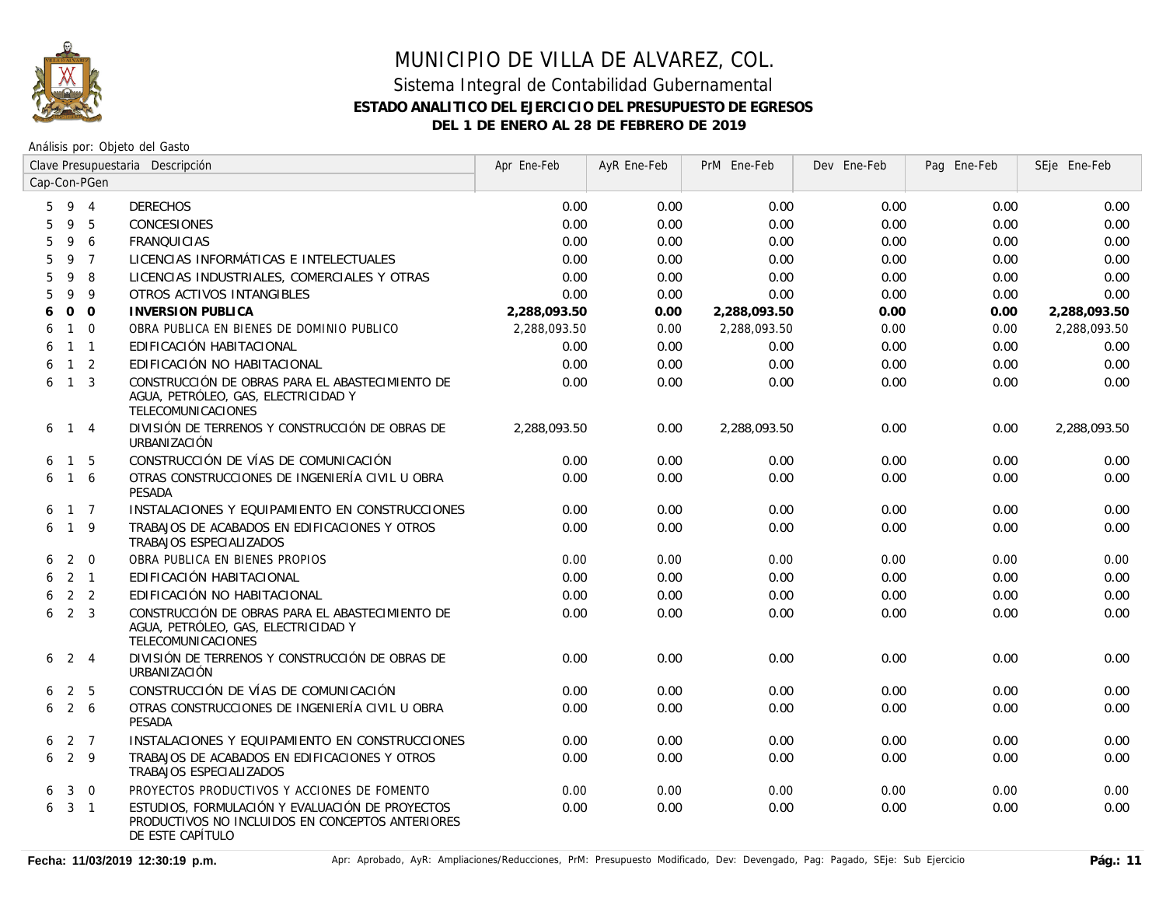

|   | Clave Presupuestaria Descripción |                |                                                                                                                         | Apr Ene-Feb  | AyR Ene-Feb | PrM Ene-Feb  | Dev Ene-Feb | Pag Ene-Feb | SEje Ene-Feb |
|---|----------------------------------|----------------|-------------------------------------------------------------------------------------------------------------------------|--------------|-------------|--------------|-------------|-------------|--------------|
|   |                                  | Cap-Con-PGen   |                                                                                                                         |              |             |              |             |             |              |
| 5 | 9 4                              |                | <b>DERECHOS</b>                                                                                                         | 0.00         | 0.00        | 0.00         | 0.00        | 0.00        | 0.00         |
| 5 | 9                                | 5              | CONCESIONES                                                                                                             | 0.00         | 0.00        | 0.00         | 0.00        | 0.00        | 0.00         |
| 5 | 9                                | 6              | <b>FRANQUICIAS</b>                                                                                                      | 0.00         | 0.00        | 0.00         | 0.00        | 0.00        | 0.00         |
| 5 | 9                                | $\overline{7}$ | LICENCIAS INFORMÁTICAS E INTELECTUALES                                                                                  | 0.00         | 0.00        | 0.00         | 0.00        | 0.00        | 0.00         |
| 5 | 9                                | 8              | LICENCIAS INDUSTRIALES, COMERCIALES Y OTRAS                                                                             | 0.00         | 0.00        | 0.00         | 0.00        | 0.00        | 0.00         |
| 5 | 9                                | 9              | OTROS ACTIVOS INTANGIBLES                                                                                               | 0.00         | 0.00        | 0.00         | 0.00        | 0.00        | 0.00         |
| 6 | $\mathbf 0$                      | $\overline{0}$ | <b>INVERSION PUBLICA</b>                                                                                                | 2,288,093.50 | 0.00        | 2,288,093.50 | 0.00        | 0.00        | 2,288,093.50 |
| 6 |                                  | $1\quad 0$     | OBRA PUBLICA EN BIENES DE DOMINIO PUBLICO                                                                               | 2,288,093.50 | 0.00        | 2,288,093.50 | 0.00        | 0.00        | 2,288,093.50 |
| 6 |                                  | $1 \quad 1$    | EDIFICACIÓN HABITACIONAL                                                                                                | 0.00         | 0.00        | 0.00         | 0.00        | 0.00        | 0.00         |
| 6 |                                  | $1\quad 2$     | EDIFICACIÓN NO HABITACIONAL                                                                                             | 0.00         | 0.00        | 0.00         | 0.00        | 0.00        | 0.00         |
| 6 |                                  | $1 \quad 3$    | CONSTRUCCIÓN DE OBRAS PARA EL ABASTECIMIENTO DE<br>AGUA, PETRÓLEO, GAS, ELECTRICIDAD Y<br>TELECOMUNICACIONES            | 0.00         | 0.00        | 0.00         | 0.00        | 0.00        | 0.00         |
| 6 | $1 \quad 4$                      |                | DIVISIÓN DE TERRENOS Y CONSTRUCCIÓN DE OBRAS DE<br>URBANIZACIÓN                                                         | 2.288.093.50 | 0.00        | 2,288,093.50 | 0.00        | 0.00        | 2,288,093.50 |
| 6 | $\overline{1}$                   | 5              | CONSTRUCCIÓN DE VÍAS DE COMUNICACIÓN                                                                                    | 0.00         | 0.00        | 0.00         | 0.00        | 0.00        | 0.00         |
| 6 |                                  | 1 6            | OTRAS CONSTRUCCIONES DE INGENIERÍA CIVIL U OBRA<br>PESADA                                                               | 0.00         | 0.00        | 0.00         | 0.00        | 0.00        | 0.00         |
| 6 | $1\quad 7$                       |                | INSTALACIONES Y EQUIPAMIENTO EN CONSTRUCCIONES                                                                          | 0.00         | 0.00        | 0.00         | 0.00        | 0.00        | 0.00         |
| 6 | 1 9                              |                | TRABAJOS DE ACABADOS EN EDIFICACIONES Y OTROS<br>TRABAJOS ESPECIALIZADOS                                                | 0.00         | 0.00        | 0.00         | 0.00        | 0.00        | 0.00         |
| 6 |                                  | $2 \quad 0$    | OBRA PUBLICA EN BIENES PROPIOS                                                                                          | 0.00         | 0.00        | 0.00         | 0.00        | 0.00        | 0.00         |
| 6 |                                  | $2 \quad 1$    | EDIFICACIÓN HABITACIONAL                                                                                                | 0.00         | 0.00        | 0.00         | 0.00        | 0.00        | 0.00         |
| 6 |                                  | 2 <sub>2</sub> | EDIFICACIÓN NO HABITACIONAL                                                                                             | 0.00         | 0.00        | 0.00         | 0.00        | 0.00        | 0.00         |
| 6 | 2 <sup>3</sup>                   |                | CONSTRUCCIÓN DE OBRAS PARA EL ABASTECIMIENTO DE<br>AGUA, PETRÓLEO, GAS, ELECTRICIDAD Y<br>TELECOMUNICACIONES            | 0.00         | 0.00        | 0.00         | 0.00        | 0.00        | 0.00         |
| 6 |                                  | 2 4            | DIVISIÓN DE TERRENOS Y CONSTRUCCIÓN DE OBRAS DE<br>URBANIZACIÓN                                                         | 0.00         | 0.00        | 0.00         | 0.00        | 0.00        | 0.00         |
| 6 |                                  | 2 <sub>5</sub> | CONSTRUCCIÓN DE VÍAS DE COMUNICACIÓN                                                                                    | 0.00         | 0.00        | 0.00         | 0.00        | 0.00        | 0.00         |
| 6 |                                  | 2 6            | OTRAS CONSTRUCCIONES DE INGENIERÍA CIVIL U OBRA<br><b>PESADA</b>                                                        | 0.00         | 0.00        | 0.00         | 0.00        | 0.00        | 0.00         |
| 6 |                                  | 2 7            | INSTALACIONES Y EQUIPAMIENTO EN CONSTRUCCIONES                                                                          | 0.00         | 0.00        | 0.00         | 0.00        | 0.00        | 0.00         |
| 6 |                                  | $2 \quad 9$    | TRABAJOS DE ACABADOS EN EDIFICACIONES Y OTROS<br>TRABAJOS ESPECIALIZADOS                                                | 0.00         | 0.00        | 0.00         | 0.00        | 0.00        | 0.00         |
| 6 | $\mathbf{3}$                     | $\overline{0}$ | PROYECTOS PRODUCTIVOS Y ACCIONES DE FOMENTO                                                                             | 0.00         | 0.00        | 0.00         | 0.00        | 0.00        | 0.00         |
| 6 | 3 <sub>1</sub>                   |                | ESTUDIOS, FORMULACIÓN Y EVALUACIÓN DE PROYECTOS<br>PRODUCTIVOS NO INCLUIDOS EN CONCEPTOS ANTERIORES<br>DE ESTE CAPÍTULO | 0.00         | 0.00        | 0.00         | 0.00        | 0.00        | 0.00         |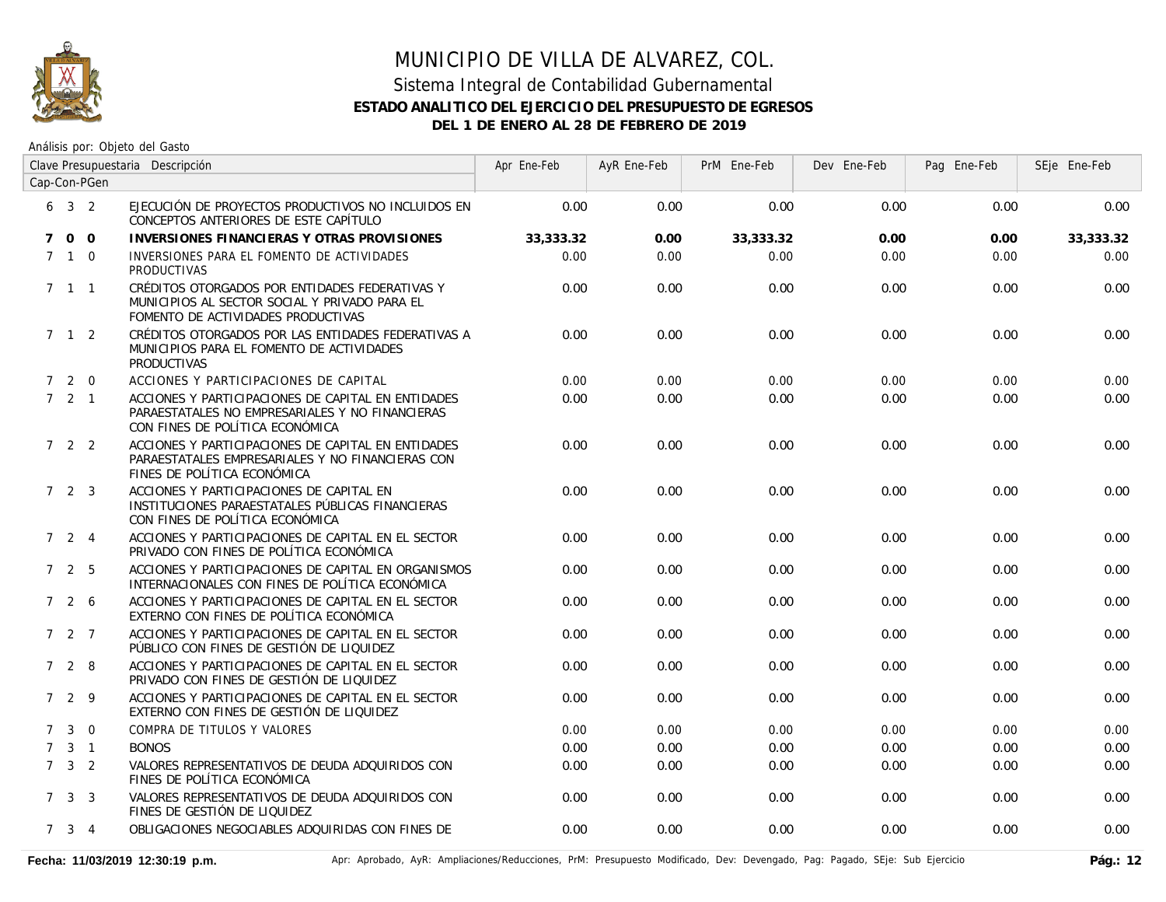

### Sistema Integral de Contabilidad Gubernamental **ESTADO ANALITICO DEL EJERCICIO DEL PRESUPUESTO DE EGRESOS DEL 1 DE ENERO AL 28 DE FEBRERO DE 2019**

|             | Clave Presupuestaria Descripción |                | Apr Ene-Feb                                                                                                                              | AyR Ene-Feb | PrM Ene-Feb | Dev Ene-Feb | Pag Ene-Feb | SEje Ene-Feb |           |
|-------------|----------------------------------|----------------|------------------------------------------------------------------------------------------------------------------------------------------|-------------|-------------|-------------|-------------|--------------|-----------|
|             |                                  | Cap-Con-PGen   |                                                                                                                                          |             |             |             |             |              |           |
|             | $6\quad 3\quad 2$                |                | EJECUCIÓN DE PROYECTOS PRODUCTIVOS NO INCLUIDOS EN<br>CONCEPTOS ANTERIORES DE ESTE CAPÍTULO                                              | 0.00        | 0.00        | 0.00        | 0.00        | 0.00         | 0.00      |
|             | 7 0 0                            |                | INVERSIONES FINANCIERAS Y OTRAS PROVISIONES                                                                                              | 33,333.32   | 0.00        | 33,333.32   | 0.00        | 0.00         | 33,333.32 |
|             | $7\quad1\quad0$                  |                | INVERSIONES PARA EL FOMENTO DE ACTIVIDADES<br><b>PRODUCTIVAS</b>                                                                         | 0.00        | 0.00        | 0.00        | 0.00        | 0.00         | 0.00      |
|             | $7 \quad 1 \quad 1$              |                | CRÉDITOS OTORGADOS POR ENTIDADES FEDERATIVAS Y<br>MUNICIPIOS AL SECTOR SOCIAL Y PRIVADO PARA EL<br>FOMENTO DE ACTIVIDADES PRODUCTIVAS    | 0.00        | 0.00        | 0.00        | 0.00        | 0.00         | 0.00      |
|             | $7 \quad 1 \quad 2$              |                | CRÉDITOS OTORGADOS POR LAS ENTIDADES FEDERATIVAS A<br>MUNICIPIOS PARA EL FOMENTO DE ACTIVIDADES<br><b>PRODUCTIVAS</b>                    | 0.00        | 0.00        | 0.00        | 0.00        | 0.00         | 0.00      |
|             | 720                              |                | ACCIONES Y PARTICIPACIONES DE CAPITAL                                                                                                    | 0.00        | 0.00        | 0.00        | 0.00        | 0.00         | 0.00      |
|             | $7 \quad 2 \quad 1$              |                | ACCIONES Y PARTICIPACIONES DE CAPITAL EN ENTIDADES<br>PARAESTATALES NO EMPRESARIALES Y NO FINANCIERAS<br>CON FINES DE POLÍTICA ECONÓMICA | 0.00        | 0.00        | 0.00        | 0.00        | 0.00         | 0.00      |
|             | 722                              |                | ACCIONES Y PARTICIPACIONES DE CAPITAL EN ENTIDADES<br>PARAESTATALES EMPRESARIALES Y NO FINANCIERAS CON<br>FINES DE POLÍTICA ECONÓMICA    | 0.00        | 0.00        | 0.00        | 0.00        | 0.00         | 0.00      |
|             | 723                              |                | ACCIONES Y PARTICIPACIONES DE CAPITAL EN<br>INSTITUCIONES PARAESTATALES PÚBLICAS FINANCIERAS<br>CON FINES DE POLÍTICA ECONÓMICA          | 0.00        | 0.00        | 0.00        | 0.00        | 0.00         | 0.00      |
|             | $7 \quad 2 \quad 4$              |                | ACCIONES Y PARTICIPACIONES DE CAPITAL EN EL SECTOR<br>PRIVADO CON FINES DE POLÍTICA ECONÓMICA                                            | 0.00        | 0.00        | 0.00        | 0.00        | 0.00         | 0.00      |
|             | 7 2 5                            |                | ACCIONES Y PARTICIPACIONES DE CAPITAL EN ORGANISMOS<br>INTERNACIONALES CON FINES DE POLÍTICA ECONÓMICA                                   | 0.00        | 0.00        | 0.00        | 0.00        | 0.00         | 0.00      |
|             | 726                              |                | ACCIONES Y PARTICIPACIONES DE CAPITAL EN EL SECTOR<br>EXTERNO CON FINES DE POLÍTICA ECONÓMICA                                            | 0.00        | 0.00        | 0.00        | 0.00        | 0.00         | 0.00      |
|             | $727$                            |                | ACCIONES Y PARTICIPACIONES DE CAPITAL EN EL SECTOR<br>PÚBLICO CON FINES DE GESTIÓN DE LIQUIDEZ                                           | 0.00        | 0.00        | 0.00        | 0.00        | 0.00         | 0.00      |
|             | 728                              |                | ACCIONES Y PARTICIPACIONES DE CAPITAL EN EL SECTOR<br>PRIVADO CON FINES DE GESTIÓN DE LIQUIDEZ                                           | 0.00        | 0.00        | 0.00        | 0.00        | 0.00         | 0.00      |
|             | 729                              |                | ACCIONES Y PARTICIPACIONES DE CAPITAL EN EL SECTOR<br>EXTERNO CON FINES DE GESTIÓN DE LIQUIDEZ                                           | 0.00        | 0.00        | 0.00        | 0.00        | 0.00         | 0.00      |
| $7^{\circ}$ | $\mathbf{3}$                     | $\overline{0}$ | COMPRA DE TITULOS Y VALORES                                                                                                              | 0.00        | 0.00        | 0.00        | 0.00        | 0.00         | 0.00      |
| $7^{\circ}$ |                                  | $3 \quad 1$    | <b>BONOS</b>                                                                                                                             | 0.00        | 0.00        | 0.00        | 0.00        | 0.00         | 0.00      |
|             | $7 \quad 3 \quad 2$              |                | VALORES REPRESENTATIVOS DE DEUDA ADQUIRIDOS CON<br>FINES DE POLÍTICA ECONÓMICA                                                           | 0.00        | 0.00        | 0.00        | 0.00        | 0.00         | 0.00      |
|             | $7 \quad 3 \quad 3$              |                | VALORES REPRESENTATIVOS DE DEUDA ADQUIRIDOS CON<br>FINES DE GESTIÓN DE LIQUIDEZ                                                          | 0.00        | 0.00        | 0.00        | 0.00        | 0.00         | 0.00      |
|             | $7 \quad 3 \quad 4$              |                | OBLIGACIONES NEGOCIABLES ADQUIRIDAS CON FINES DE                                                                                         | 0.00        | 0.00        | 0.00        | 0.00        | 0.00         | 0.00      |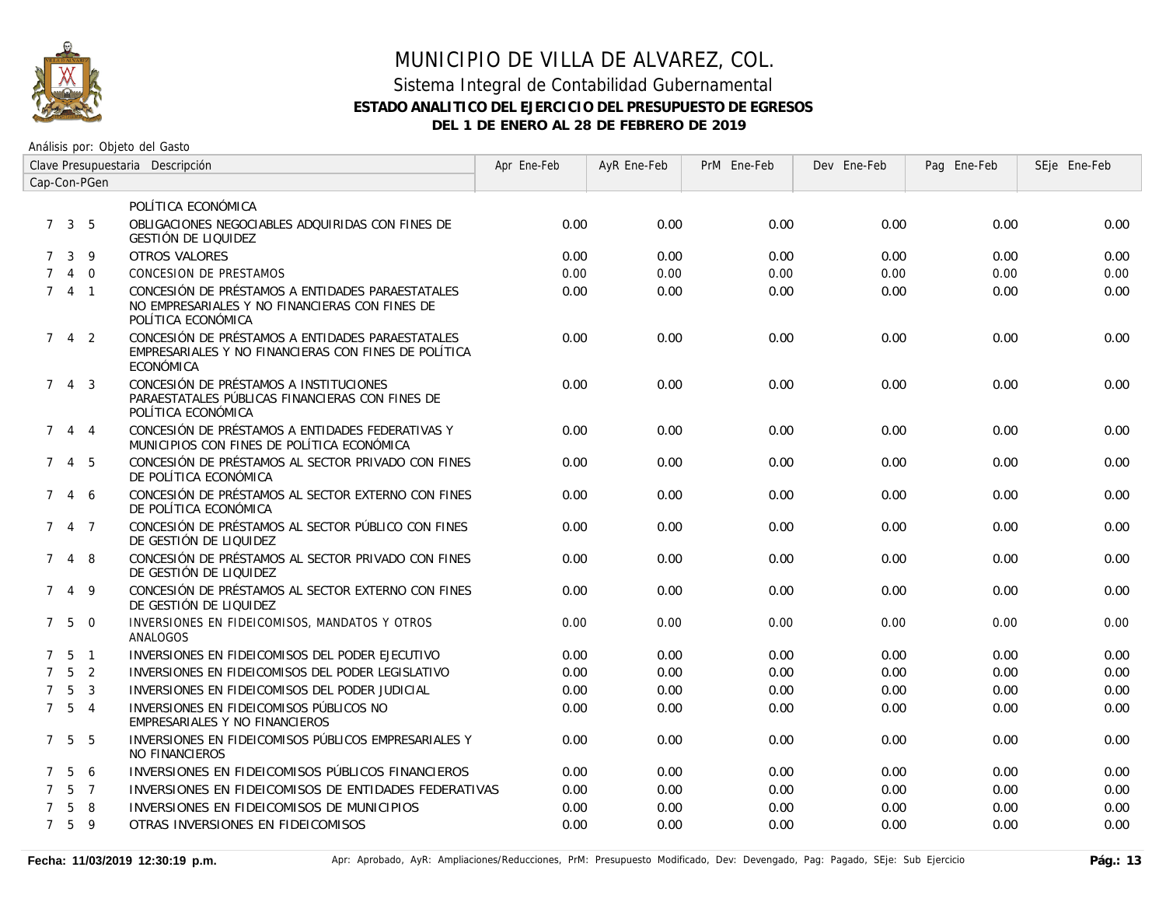

### Sistema Integral de Contabilidad Gubernamental **ESTADO ANALITICO DEL EJERCICIO DEL PRESUPUESTO DE EGRESOS DEL 1 DE ENERO AL 28 DE FEBRERO DE 2019**

| Clave Presupuestaria Descripción |                     |                |                                                                                                                          | Apr Ene-Feb | AyR Ene-Feb | PrM Ene-Feb | Dev Ene-Feb | Pag Ene-Feb | SEje Ene-Feb |
|----------------------------------|---------------------|----------------|--------------------------------------------------------------------------------------------------------------------------|-------------|-------------|-------------|-------------|-------------|--------------|
| Cap-Con-PGen                     |                     |                |                                                                                                                          |             |             |             |             |             |              |
|                                  |                     |                | POLÍTICA ECONÓMICA                                                                                                       |             |             |             |             |             |              |
|                                  | $7 \quad 3 \quad 5$ |                | OBLIGACIONES NEGOCIABLES ADQUIRIDAS CON FINES DE<br><b>GESTIÓN DE LIQUIDEZ</b>                                           | 0.00        | 0.00        | 0.00        | 0.00        | 0.00        | 0.00         |
| $7^{\circ}$                      |                     | $3 \quad 9$    | <b>OTROS VALORES</b>                                                                                                     | 0.00        | 0.00        | 0.00        | 0.00        | 0.00        | 0.00         |
|                                  |                     | $4\quad 0$     | <b>CONCESION DE PRESTAMOS</b>                                                                                            | 0.00        | 0.00        | 0.00        | 0.00        | 0.00        | 0.00         |
|                                  | 7 4 1               |                | CONCESIÓN DE PRÉSTAMOS A ENTIDADES PARAESTATALES<br>NO EMPRESARIALES Y NO FINANCIERAS CON FINES DE<br>POLÍTICA ECONÓMICA | 0.00        | 0.00        | 0.00        | 0.00        | 0.00        | 0.00         |
|                                  | $7 \quad 4 \quad 2$ |                | CONCESIÓN DE PRÉSTAMOS A ENTIDADES PARAESTATALES<br>EMPRESARIALES Y NO FINANCIERAS CON FINES DE POLÍTICA<br>ECONÓMICA    | 0.00        | 0.00        | 0.00        | 0.00        | 0.00        | 0.00         |
| $7^{\circ}$                      |                     | 4 3            | CONCESIÓN DE PRÉSTAMOS A INSTITUCIONES<br>PARAESTATALES PÚBLICAS FINANCIERAS CON FINES DE<br>POLÍTICA ECONÓMICA          | 0.00        | 0.00        | 0.00        | 0.00        | 0.00        | 0.00         |
| 7                                |                     | 4 4            | CONCESIÓN DE PRÉSTAMOS A ENTIDADES FEDERATIVAS Y<br>MUNICIPIOS CON FINES DE POLÍTICA ECONÓMICA                           | 0.00        | 0.00        | 0.00        | 0.00        | 0.00        | 0.00         |
| $7^{\circ}$                      |                     | 4 5            | CONCESIÓN DE PRÉSTAMOS AL SECTOR PRIVADO CON FINES<br>DE POLÍTICA ECONÓMICA                                              | 0.00        | 0.00        | 0.00        | 0.00        | 0.00        | 0.00         |
| 7                                |                     | 4 6            | CONCESIÓN DE PRÉSTAMOS AL SECTOR EXTERNO CON FINES<br>DE POLÍTICA ECONÓMICA                                              | 0.00        | 0.00        | 0.00        | 0.00        | 0.00        | 0.00         |
|                                  | 7 4 7               |                | CONCESIÓN DE PRÉSTAMOS AL SECTOR PÚBLICO CON FINES<br>DE GESTIÓN DE LIQUIDEZ                                             | 0.00        | 0.00        | 0.00        | 0.00        | 0.00        | 0.00         |
| $7^{\circ}$                      |                     | 4 8            | CONCESIÓN DE PRÉSTAMOS AL SECTOR PRIVADO CON FINES<br>DE GESTIÓN DE LIQUIDEZ                                             | 0.00        | 0.00        | 0.00        | 0.00        | 0.00        | 0.00         |
|                                  | 749                 |                | CONCESIÓN DE PRÉSTAMOS AL SECTOR EXTERNO CON FINES<br>DE GESTIÓN DE LIQUIDEZ                                             | 0.00        | 0.00        | 0.00        | 0.00        | 0.00        | 0.00         |
|                                  | $7\quad 5\quad 0$   |                | INVERSIONES EN FIDEICOMISOS, MANDATOS Y OTROS<br>ANALOGOS                                                                | 0.00        | 0.00        | 0.00        | 0.00        | 0.00        | 0.00         |
|                                  | $7\;\;5\;\;1$       |                | INVERSIONES EN FIDEICOMISOS DEL PODER EJECUTIVO                                                                          | 0.00        | 0.00        | 0.00        | 0.00        | 0.00        | 0.00         |
| $\overline{7}$                   | 5 <sup>5</sup>      | $\overline{2}$ | INVERSIONES EN FIDEICOMISOS DEL PODER LEGISLATIVO                                                                        | 0.00        | 0.00        | 0.00        | 0.00        | 0.00        | 0.00         |
| $7^{\circ}$                      | -5                  | $\overline{3}$ | INVERSIONES EN FIDEICOMISOS DEL PODER JUDICIAL                                                                           | 0.00        | 0.00        | 0.00        | 0.00        | 0.00        | 0.00         |
|                                  | $7\quad 5\quad 4$   |                | INVERSIONES EN FIDEICOMISOS PÚBLICOS NO<br>EMPRESARIALES Y NO FINANCIEROS                                                | 0.00        | 0.00        | 0.00        | 0.00        | 0.00        | 0.00         |
|                                  | 7 5                 | - 5            | INVERSIONES EN FIDEICOMISOS PÚBLICOS EMPRESARIALES Y<br><b>NO FINANCIEROS</b>                                            | 0.00        | 0.00        | 0.00        | 0.00        | 0.00        | 0.00         |
|                                  | 7 5 6               |                | INVERSIONES EN FIDEICOMISOS PÚBLICOS FINANCIEROS                                                                         | 0.00        | 0.00        | 0.00        | 0.00        | 0.00        | 0.00         |
|                                  |                     | 5 7            | INVERSIONES EN FIDEICOMISOS DE ENTIDADES FEDERATIVAS                                                                     | 0.00        | 0.00        | 0.00        | 0.00        | 0.00        | 0.00         |
|                                  | -5                  | 8              | INVERSIONES EN FIDEICOMISOS DE MUNICIPIOS                                                                                | 0.00        | 0.00        | 0.00        | 0.00        | 0.00        | 0.00         |
|                                  | $7\quad 5\quad 9$   |                | OTRAS INVERSIONES EN FIDEICOMISOS                                                                                        | 0.00        | 0.00        | 0.00        | 0.00        | 0.00        | 0.00         |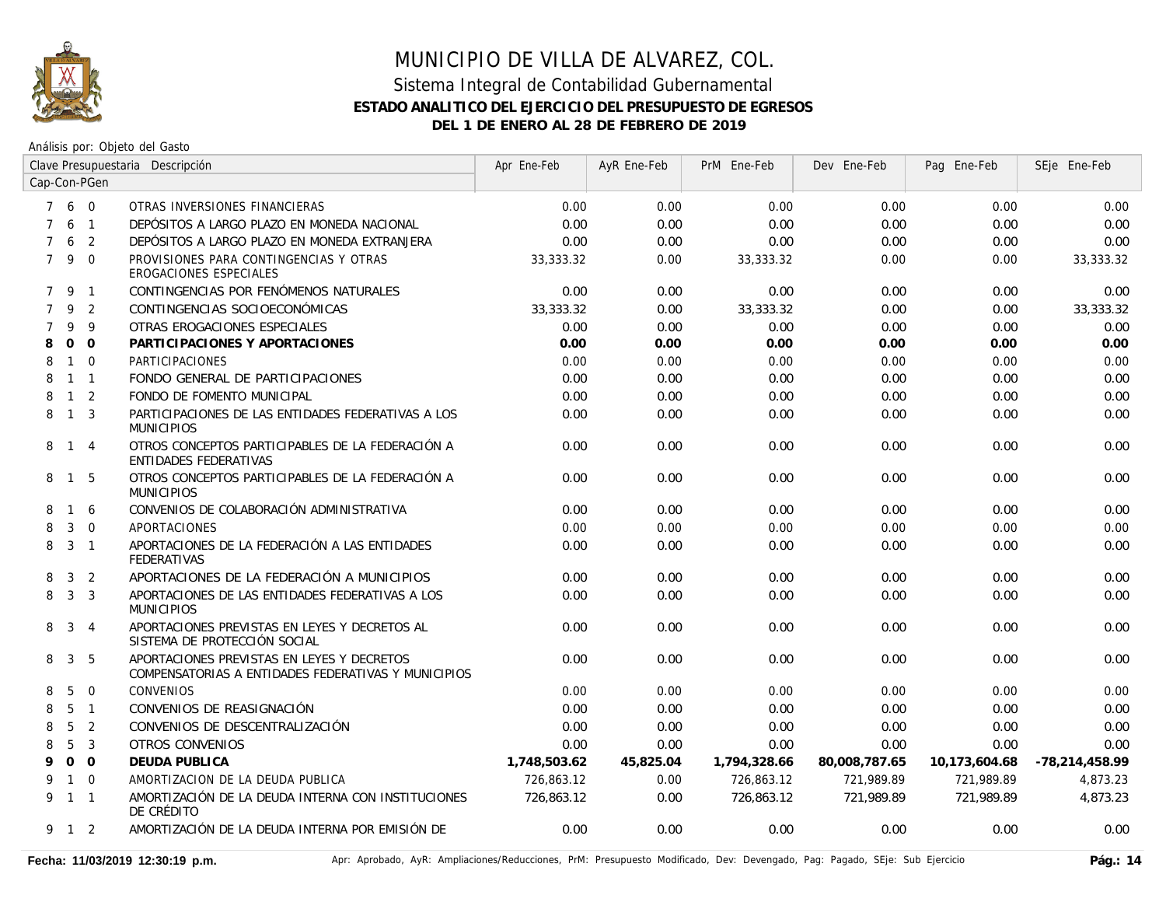

| Clave Presupuestaria Descripción |                |                |                                                                                                   | Apr Ene-Feb  | AyR Ene-Feb | PrM Ene-Feb  | Dev Ene-Feb   | Pag Ene-Feb   | SEje Ene-Feb   |
|----------------------------------|----------------|----------------|---------------------------------------------------------------------------------------------------|--------------|-------------|--------------|---------------|---------------|----------------|
| Cap-Con-PGen                     |                |                |                                                                                                   |              |             |              |               |               |                |
|                                  | 7 6 0          |                | OTRAS INVERSIONES FINANCIERAS                                                                     | 0.00         | 0.00        | 0.00         | 0.00          | 0.00          | 0.00           |
| $\overline{7}$                   | 6              | $\overline{1}$ | DEPÓSITOS A LARGO PLAZO EN MONEDA NACIONAL                                                        | 0.00         | 0.00        | 0.00         | 0.00          | 0.00          | 0.00           |
| $\overline{7}$                   | 6              | 2              | DEPÓSITOS A LARGO PLAZO EN MONEDA EXTRANJERA                                                      | 0.00         | 0.00        | 0.00         | 0.00          | 0.00          | 0.00           |
| $7^{\circ}$                      | 9 0            |                | PROVISIONES PARA CONTINGENCIAS Y OTRAS<br>EROGACIONES ESPECIALES                                  | 33,333.32    | 0.00        | 33,333.32    | 0.00          | 0.00          | 33,333.32      |
|                                  | 7 9 1          |                | CONTINGENCIAS POR FENÓMENOS NATURALES                                                             | 0.00         | 0.00        | 0.00         | 0.00          | 0.00          | 0.00           |
| $\overline{7}$                   | 9              | 2              | CONTINGENCIAS SOCIOECONÓMICAS                                                                     | 33,333.32    | 0.00        | 33,333.32    | 0.00          | 0.00          | 33,333.32      |
| 7                                | 9              | 9              | OTRAS EROGACIONES ESPECIALES                                                                      | 0.00         | 0.00        | 0.00         | 0.00          | 0.00          | 0.00           |
| 8                                | $\mathbf{O}$   | $\overline{O}$ | PARTICIPACIONES Y APORTACIONES                                                                    | 0.00         | 0.00        | 0.00         | 0.00          | 0.00          | 0.00           |
| 8                                |                | $1\quad 0$     | PARTICIPACIONES                                                                                   | 0.00         | 0.00        | 0.00         | 0.00          | 0.00          | 0.00           |
| 8                                | $1 \quad 1$    |                | FONDO GENERAL DE PARTICIPACIONES                                                                  | 0.00         | 0.00        | 0.00         | 0.00          | 0.00          | 0.00           |
| 8                                | $\mathbf{1}$   | 2              | FONDO DE FOMENTO MUNICIPAL                                                                        | 0.00         | 0.00        | 0.00         | 0.00          | 0.00          | 0.00           |
| 8                                | $\overline{1}$ | $\overline{3}$ | PARTICIPACIONES DE LAS ENTIDADES FEDERATIVAS A LOS<br><b>MUNICIPIOS</b>                           | 0.00         | 0.00        | 0.00         | 0.00          | 0.00          | 0.00           |
|                                  | 8 1            | $\overline{4}$ | OTROS CONCEPTOS PARTICIPABLES DE LA FEDERACIÓN A<br><b>ENTIDADES FEDERATIVAS</b>                  | 0.00         | 0.00        | 0.00         | 0.00          | 0.00          | 0.00           |
| 8                                | $\overline{1}$ | -5             | OTROS CONCEPTOS PARTICIPABLES DE LA FEDERACIÓN A<br><b>MUNICIPIOS</b>                             | 0.00         | 0.00        | 0.00         | 0.00          | 0.00          | 0.00           |
| 8                                | $\overline{1}$ | 6              | CONVENIOS DE COLABORACIÓN ADMINISTRATIVA                                                          | 0.00         | 0.00        | 0.00         | 0.00          | 0.00          | 0.00           |
| 8                                | 3              | $\overline{0}$ | <b>APORTACIONES</b>                                                                               | 0.00         | 0.00        | 0.00         | 0.00          | 0.00          | 0.00           |
| 8                                | $3 \quad 1$    |                | APORTACIONES DE LA FEDERACIÓN A LAS ENTIDADES<br>FEDERATIVAS                                      | 0.00         | 0.00        | 0.00         | 0.00          | 0.00          | 0.00           |
| 8                                | 3              | 2              | APORTACIONES DE LA FEDERACIÓN A MUNICIPIOS                                                        | 0.00         | 0.00        | 0.00         | 0.00          | 0.00          | 0.00           |
| 8                                | $\overline{3}$ | $\overline{3}$ | APORTACIONES DE LAS ENTIDADES FEDERATIVAS A LOS<br><b>MUNICIPIOS</b>                              | 0.00         | 0.00        | 0.00         | 0.00          | 0.00          | 0.00           |
| 8                                | $\mathbf{3}$   | $\overline{4}$ | APORTACIONES PREVISTAS EN LEYES Y DECRETOS AL<br>SISTEMA DE PROTECCIÓN SOCIAL                     | 0.00         | 0.00        | 0.00         | 0.00          | 0.00          | 0.00           |
| 8                                | $\mathbf{3}$   | -5             | APORTACIONES PREVISTAS EN LEYES Y DECRETOS<br>COMPENSATORIAS A ENTIDADES FEDERATIVAS Y MUNICIPIOS | 0.00         | 0.00        | 0.00         | 0.00          | 0.00          | 0.00           |
| 8                                | 5              | $\overline{0}$ | <b>CONVENIOS</b>                                                                                  | 0.00         | 0.00        | 0.00         | 0.00          | 0.00          | 0.00           |
| 8                                | 5              | $\overline{1}$ | CONVENIOS DE REASIGNACIÓN                                                                         | 0.00         | 0.00        | 0.00         | 0.00          | 0.00          | 0.00           |
| 8                                | 5              | 2              | CONVENIOS DE DESCENTRALIZACIÓN                                                                    | 0.00         | 0.00        | 0.00         | 0.00          | 0.00          | 0.00           |
| 8                                | 5              | $\mathbf{3}$   | OTROS CONVENIOS                                                                                   | 0.00         | 0.00        | 0.00         | 0.00          | 0.00          | 0.00           |
| 9                                | 0 <sub>0</sub> |                | DEUDA PUBLICA                                                                                     | 1,748,503.62 | 45,825.04   | 1,794,328.66 | 80,008,787.65 | 10,173,604.68 | -78,214,458.99 |
| 9                                |                | $1 \quad 0$    | AMORTIZACION DE LA DEUDA PUBLICA                                                                  | 726,863.12   | 0.00        | 726,863.12   | 721,989.89    | 721.989.89    | 4,873.23       |
|                                  | 9 1 1          |                | AMORTIZACIÓN DE LA DEUDA INTERNA CON INSTITUCIONES<br>DE CRÉDITO                                  | 726,863.12   | 0.00        | 726,863.12   | 721,989.89    | 721,989.89    | 4,873.23       |
|                                  | 9 1 2          |                | AMORTIZACIÓN DE LA DEUDA INTERNA POR EMISIÓN DE                                                   | 0.00         | 0.00        | 0.00         | 0.00          | 0.00          | 0.00           |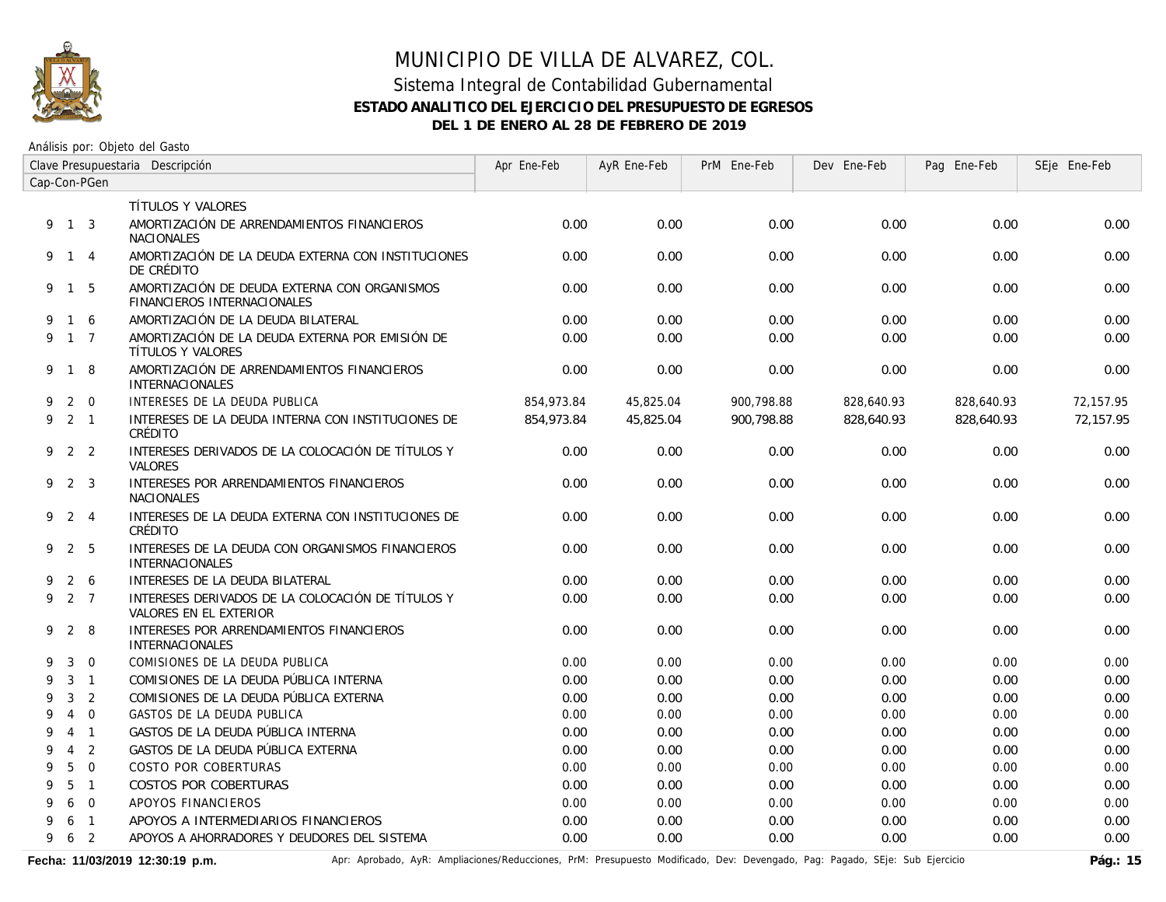

### Sistema Integral de Contabilidad Gubernamental **ESTADO ANALITICO DEL EJERCICIO DEL PRESUPUESTO DE EGRESOS DEL 1 DE ENERO AL 28 DE FEBRERO DE 2019**

Análisis por: Objeto del Gasto

| Clave Presupuestaria Descripción |                |                |                                                                                    | Apr Ene-Feb | AyR Ene-Feb | PrM Ene-Feb | Dev Ene-Feb | Pag Ene-Feb | SEje Ene-Feb |
|----------------------------------|----------------|----------------|------------------------------------------------------------------------------------|-------------|-------------|-------------|-------------|-------------|--------------|
| Cap-Con-PGen                     |                |                |                                                                                    |             |             |             |             |             |              |
|                                  |                |                | TÍTULOS Y VALORES                                                                  |             |             |             |             |             |              |
|                                  | 9 1 3          |                | AMORTIZACIÓN DE ARRENDAMIENTOS FINANCIEROS<br><b>NACIONALES</b>                    | 0.00        | 0.00        | 0.00        | 0.00        | 0.00        | 0.00         |
|                                  | 9 1 4          |                | AMORTIZACIÓN DE LA DEUDA EXTERNA CON INSTITUCIONES<br>DE CRÉDITO                   | 0.00        | 0.00        | 0.00        | 0.00        | 0.00        | 0.00         |
|                                  | 9 1 5          |                | AMORTIZACIÓN DE DEUDA EXTERNA CON ORGANISMOS<br><b>FINANCIEROS INTERNACIONALES</b> | 0.00        | 0.00        | 0.00        | 0.00        | 0.00        | 0.00         |
| 9                                |                | $1\quad6$      | AMORTIZACIÓN DE LA DEUDA BILATERAL                                                 | 0.00        | 0.00        | 0.00        | 0.00        | 0.00        | 0.00         |
| 9                                |                | $1 \quad 7$    | AMORTIZACIÓN DE LA DEUDA EXTERNA POR EMISIÓN DE<br>TÍTULOS Y VALORES               | 0.00        | 0.00        | 0.00        | 0.00        | 0.00        | 0.00         |
|                                  | 9 1            | 8              | AMORTIZACIÓN DE ARRENDAMIENTOS FINANCIEROS<br><b>INTERNACIONALES</b>               | 0.00        | 0.00        | 0.00        | 0.00        | 0.00        | 0.00         |
| 9                                |                | $2 \quad 0$    | INTERESES DE LA DEUDA PUBLICA                                                      | 854,973.84  | 45,825.04   | 900,798.88  | 828,640.93  | 828,640.93  | 72,157.95    |
| 9                                | 2 1            |                | INTERESES DE LA DEUDA INTERNA CON INSTITUCIONES DE<br>CRÉDITO                      | 854,973.84  | 45,825.04   | 900.798.88  | 828,640.93  | 828,640.93  | 72,157.95    |
|                                  | 922            |                | INTERESES DERIVADOS DE LA COLOCACIÓN DE TÍTULOS Y<br><b>VALORES</b>                | 0.00        | 0.00        | 0.00        | 0.00        | 0.00        | 0.00         |
| 9                                | 2 3            |                | INTERESES POR ARRENDAMIENTOS FINANCIEROS<br><b>NACIONALES</b>                      | 0.00        | 0.00        | 0.00        | 0.00        | 0.00        | 0.00         |
| 9                                |                | $2 \quad 4$    | INTERESES DE LA DEUDA EXTERNA CON INSTITUCIONES DE<br>CRÉDITO                      | 0.00        | 0.00        | 0.00        | 0.00        | 0.00        | 0.00         |
|                                  | 9 2 5          |                | INTERESES DE LA DEUDA CON ORGANISMOS FINANCIEROS<br><b>INTERNACIONALES</b>         | 0.00        | 0.00        | 0.00        | 0.00        | 0.00        | 0.00         |
| 9                                |                | $2\quad 6$     | INTERESES DE LA DEUDA BILATERAL                                                    | 0.00        | 0.00        | 0.00        | 0.00        | 0.00        | 0.00         |
| 9                                | 2 7            |                | INTERESES DERIVADOS DE LA COLOCACIÓN DE TÍTULOS Y<br>VALORES EN EL EXTERIOR        | 0.00        | 0.00        | 0.00        | 0.00        | 0.00        | 0.00         |
| 9                                | 2              | -8             | INTERESES POR ARRENDAMIENTOS FINANCIEROS<br>INTERNACIONALES                        | 0.00        | 0.00        | 0.00        | 0.00        | 0.00        | 0.00         |
| 9                                | 3              | $\Omega$       | COMISIONES DE LA DEUDA PUBLICA                                                     | 0.00        | 0.00        | 0.00        | 0.00        | 0.00        | 0.00         |
| 9                                | 3              | $\overline{1}$ | COMISIONES DE LA DEUDA PÚBLICA INTERNA                                             | 0.00        | 0.00        | 0.00        | 0.00        | 0.00        | 0.00         |
| 9                                | 3              | $\overline{2}$ | COMISIONES DE LA DEUDA PÚBLICA EXTERNA                                             | 0.00        | 0.00        | 0.00        | 0.00        | 0.00        | 0.00         |
| 9                                | $\overline{4}$ | $\Omega$       | GASTOS DE LA DEUDA PUBLICA                                                         | 0.00        | 0.00        | 0.00        | 0.00        | 0.00        | 0.00         |
| 9                                | 4              | $\overline{1}$ | GASTOS DE LA DEUDA PÚBLICA INTERNA                                                 | 0.00        | 0.00        | 0.00        | 0.00        | 0.00        | 0.00         |
| 9                                | $\overline{4}$ | 2              | GASTOS DE LA DEUDA PÚBLICA EXTERNA                                                 | 0.00        | 0.00        | 0.00        | 0.00        | 0.00        | 0.00         |
| 9                                | 5              | $\overline{0}$ | COSTO POR COBERTURAS                                                               | 0.00        | 0.00        | 0.00        | 0.00        | 0.00        | 0.00         |
| 9                                | 5              | $\overline{1}$ | <b>COSTOS POR COBERTURAS</b>                                                       | 0.00        | 0.00        | 0.00        | 0.00        | 0.00        | 0.00         |
| 9                                | 6              | $\Omega$       | APOYOS FINANCIEROS                                                                 | 0.00        | 0.00        | 0.00        | 0.00        | 0.00        | 0.00         |
| 9                                | 6              | $\overline{1}$ | APOYOS A INTERMEDIARIOS FINANCIEROS                                                | 0.00        | 0.00        | 0.00        | 0.00        | 0.00        | 0.00         |
| 9                                | 6              | $\overline{2}$ | APOYOS A AHORRADORES Y DEUDORES DEL SISTEMA                                        | 0.00        | 0.00        | 0.00        | 0.00        | 0.00        | 0.00         |